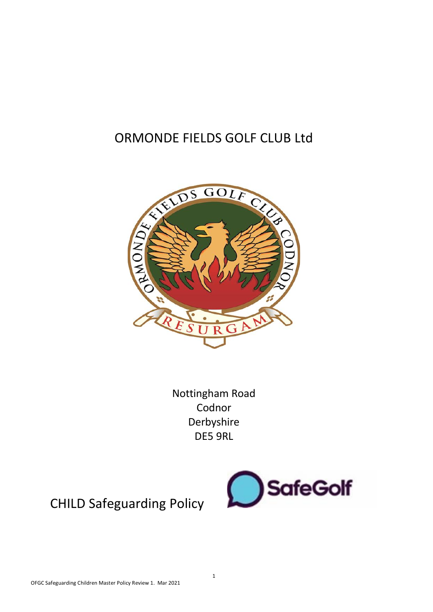### ORMONDE FIELDS GOLF CLUB Ltd



Nottingham Road Codnor Derbyshire DE5 9RL



CHILD Safeguarding Policy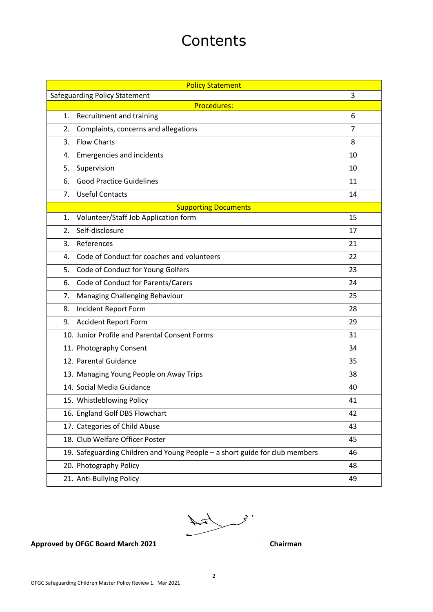## **Contents**

| <b>Policy Statement</b> |                                                                             |                |
|-------------------------|-----------------------------------------------------------------------------|----------------|
|                         | <b>Safeguarding Policy Statement</b>                                        | 3              |
|                         | <b>Procedures:</b>                                                          |                |
| 1.                      | Recruitment and training                                                    | 6              |
| 2.                      | Complaints, concerns and allegations                                        | $\overline{7}$ |
| 3.                      | <b>Flow Charts</b>                                                          | 8              |
| 4.                      | <b>Emergencies and incidents</b>                                            | 10             |
| 5.                      | Supervision                                                                 | 10             |
| 6.                      | <b>Good Practice Guidelines</b>                                             | 11             |
| 7.                      | <b>Useful Contacts</b>                                                      | 14             |
|                         | <b>Supporting Documents</b>                                                 |                |
| 1.                      | Volunteer/Staff Job Application form                                        | 15             |
| 2.                      | Self-disclosure                                                             | 17             |
| 3.                      | References                                                                  | 21             |
| 4.                      | Code of Conduct for coaches and volunteers                                  | 22             |
| 5.                      | Code of Conduct for Young Golfers                                           | 23             |
| 6.                      | Code of Conduct for Parents/Carers                                          | 24             |
| 7.                      | Managing Challenging Behaviour                                              | 25             |
| 8.                      | Incident Report Form                                                        | 28             |
| 9.                      | <b>Accident Report Form</b>                                                 | 29             |
|                         | 10. Junior Profile and Parental Consent Forms                               | 31             |
|                         | 11. Photography Consent                                                     | 34             |
|                         | 12. Parental Guidance                                                       | 35             |
|                         | 13. Managing Young People on Away Trips                                     | 38             |
|                         | 14. Social Media Guidance                                                   | 40             |
|                         | 15. Whistleblowing Policy                                                   | 41             |
|                         | 16. England Golf DBS Flowchart                                              | 42             |
|                         | 17. Categories of Child Abuse                                               | 43             |
|                         | 18. Club Welfare Officer Poster                                             | 45             |
|                         | 19. Safeguarding Children and Young People - a short guide for club members | 46             |
|                         | 20. Photography Policy                                                      | 48             |
|                         | 21. Anti-Bullying Policy                                                    | 49             |



#### Approved by OFGC Board March 2021 **Chairman**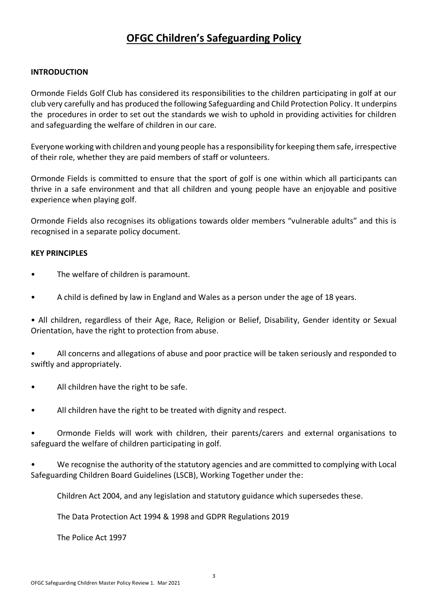### **OFGC Children's Safeguarding Policy**

#### **INTRODUCTION**

Ormonde Fields Golf Club has considered its responsibilities to the children participating in golf at our club very carefully and has produced the following Safeguarding and Child Protection Policy. It underpins the procedures in order to set out the standards we wish to uphold in providing activities for children and safeguarding the welfare of children in our care.

Everyone working with children and young people has a responsibility for keeping them safe, irrespective of their role, whether they are paid members of staff or volunteers.

Ormonde Fields is committed to ensure that the sport of golf is one within which all participants can thrive in a safe environment and that all children and young people have an enjoyable and positive experience when playing golf.

Ormonde Fields also recognises its obligations towards older members "vulnerable adults" and this is recognised in a separate policy document.

#### **KEY PRINCIPLES**

- The welfare of children is paramount.
- A child is defined by law in England and Wales as a person under the age of 18 years.

• All children, regardless of their Age, Race, Religion or Belief, Disability, Gender identity or Sexual Orientation, have the right to protection from abuse.

• All concerns and allegations of abuse and poor practice will be taken seriously and responded to swiftly and appropriately.

- All children have the right to be safe.
- All children have the right to be treated with dignity and respect.

• Ormonde Fields will work with children, their parents/carers and external organisations to safeguard the welfare of children participating in golf.

• We recognise the authority of the statutory agencies and are committed to complying with Local Safeguarding Children Board Guidelines (LSCB), Working Together under the:

Children Act 2004, and any legislation and statutory guidance which supersedes these.

The Data Protection Act 1994 & 1998 and GDPR Regulations 2019

The Police Act 1997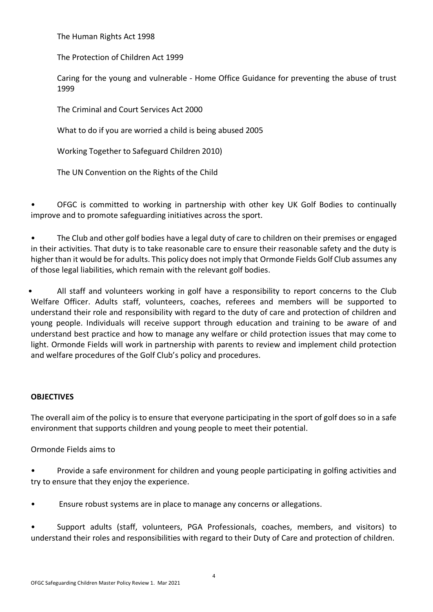The Human Rights Act 1998

The Protection of Children Act 1999

Caring for the young and vulnerable - Home Office Guidance for preventing the abuse of trust 1999

The Criminal and Court Services Act 2000

What to do if you are worried a child is being abused 2005

Working Together to Safeguard Children 2010)

The UN Convention on the Rights of the Child

• OFGC is committed to working in partnership with other key UK Golf Bodies to continually improve and to promote safeguarding initiatives across the sport.

• The Club and other golf bodies have a legal duty of care to children on their premises or engaged in their activities. That duty is to take reasonable care to ensure their reasonable safety and the duty is higher than it would be for adults. This policy does not imply that Ormonde Fields Golf Club assumes any of those legal liabilities, which remain with the relevant golf bodies.

• All staff and volunteers working in golf have a responsibility to report concerns to the Club Welfare Officer. Adults staff, volunteers, coaches, referees and members will be supported to understand their role and responsibility with regard to the duty of care and protection of children and young people. Individuals will receive support through education and training to be aware of and understand best practice and how to manage any welfare or child protection issues that may come to light. Ormonde Fields will work in partnership with parents to review and implement child protection and welfare procedures of the Golf Club's policy and procedures.

#### **OBJECTIVES**

The overall aim of the policy is to ensure that everyone participating in the sport of golf does so in a safe environment that supports children and young people to meet their potential.

Ormonde Fields aims to

• Provide a safe environment for children and young people participating in golfing activities and try to ensure that they enjoy the experience.

• Ensure robust systems are in place to manage any concerns or allegations.

• Support adults (staff, volunteers, PGA Professionals, coaches, members, and visitors) to understand their roles and responsibilities with regard to their Duty of Care and protection of children.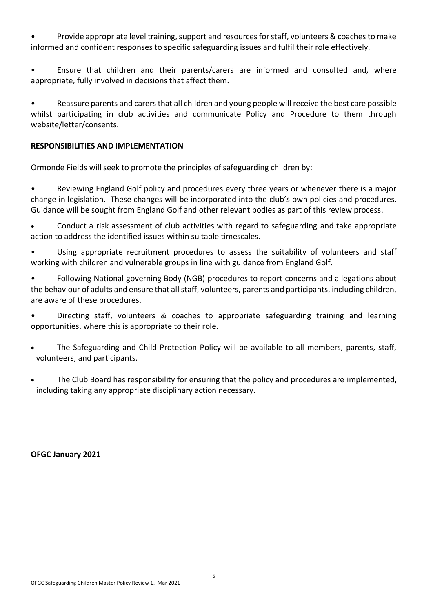• Provide appropriate level training, support and resources for staff, volunteers & coaches to make informed and confident responses to specific safeguarding issues and fulfil their role effectively.

• Ensure that children and their parents/carers are informed and consulted and, where appropriate, fully involved in decisions that affect them.

• Reassure parents and carers that all children and young people will receive the best care possible whilst participating in club activities and communicate Policy and Procedure to them through website/letter/consents.

#### **RESPONSIBILITIES AND IMPLEMENTATION**

Ormonde Fields will seek to promote the principles of safeguarding children by:

Reviewing England Golf policy and procedures every three years or whenever there is a major change in legislation. These changes will be incorporated into the club's own policies and procedures. Guidance will be sought from England Golf and other relevant bodies as part of this review process.

• Conduct a risk assessment of club activities with regard to safeguarding and take appropriate action to address the identified issues within suitable timescales.

• Using appropriate recruitment procedures to assess the suitability of volunteers and staff working with children and vulnerable groups in line with guidance from England Golf.

• Following National governing Body (NGB) procedures to report concerns and allegations about the behaviour of adults and ensure that all staff, volunteers, parents and participants, including children, are aware of these procedures.

• Directing staff, volunteers & coaches to appropriate safeguarding training and learning opportunities, where this is appropriate to their role.

- The Safeguarding and Child Protection Policy will be available to all members, parents, staff, volunteers, and participants.
- The Club Board has responsibility for ensuring that the policy and procedures are implemented, including taking any appropriate disciplinary action necessary.

#### **OFGC January 2021**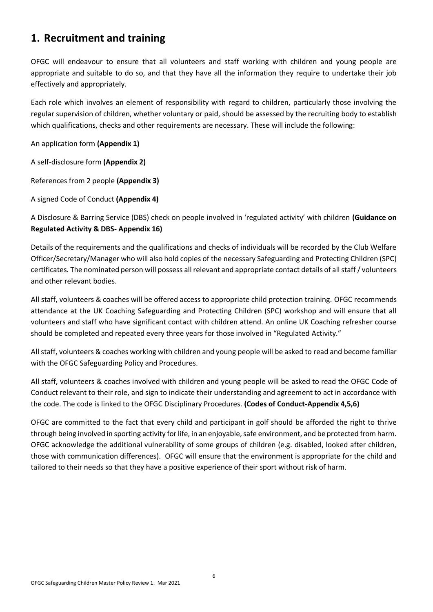### **1. Recruitment and training**

OFGC will endeavour to ensure that all volunteers and staff working with children and young people are appropriate and suitable to do so, and that they have all the information they require to undertake their job effectively and appropriately.

Each role which involves an element of responsibility with regard to children, particularly those involving the regular supervision of children, whether voluntary or paid, should be assessed by the recruiting body to establish which qualifications, checks and other requirements are necessary. These will include the following:

An application form **(Appendix 1)**

A self-disclosure form **(Appendix 2)**

References from 2 people **(Appendix 3)**

A signed Code of Conduct **(Appendix 4)**

A Disclosure & Barring Service (DBS) check on people involved in 'regulated activity' with children **(Guidance on Regulated Activity & DBS- Appendix 16)**

Details of the requirements and the qualifications and checks of individuals will be recorded by the Club Welfare Officer/Secretary/Manager who will also hold copies of the necessary Safeguarding and Protecting Children (SPC) certificates. The nominated person will possess all relevant and appropriate contact details of all staff / volunteers and other relevant bodies.

All staff, volunteers & coaches will be offered access to appropriate child protection training. OFGC recommends attendance at the UK Coaching Safeguarding and Protecting Children (SPC) workshop and will ensure that all volunteers and staff who have significant contact with children attend. An online UK Coaching refresher course should be completed and repeated every three years for those involved in "Regulated Activity."

All staff, volunteers & coaches working with children and young people will be asked to read and become familiar with the OFGC Safeguarding Policy and Procedures.

All staff, volunteers & coaches involved with children and young people will be asked to read the OFGC Code of Conduct relevant to their role, and sign to indicate their understanding and agreement to act in accordance with the code. The code is linked to the OFGC Disciplinary Procedures. **(Codes of Conduct-Appendix 4,5,6)**

OFGC are committed to the fact that every child and participant in golf should be afforded the right to thrive through being involved in sporting activity for life, in an enjoyable, safe environment, and be protected from harm. OFGC acknowledge the additional vulnerability of some groups of children (e.g. disabled, looked after children, those with communication differences). OFGC will ensure that the environment is appropriate for the child and tailored to their needs so that they have a positive experience of their sport without risk of harm.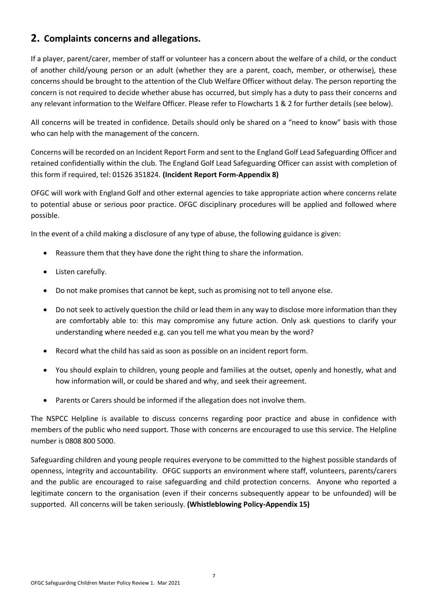### **2. Complaints concerns and allegations.**

If a player, parent/carer, member of staff or volunteer has a concern about the welfare of a child, or the conduct of another child/young person or an adult (whether they are a parent, coach, member, or otherwise), these concerns should be brought to the attention of the Club Welfare Officer without delay. The person reporting the concern is not required to decide whether abuse has occurred, but simply has a duty to pass their concerns and any relevant information to the Welfare Officer. Please refer to Flowcharts 1 & 2 for further details (see below).

All concerns will be treated in confidence. Details should only be shared on a "need to know" basis with those who can help with the management of the concern.

Concerns will be recorded on an Incident Report Form and sent to the England Golf Lead Safeguarding Officer and retained confidentially within the club. The England Golf Lead Safeguarding Officer can assist with completion of this form if required, tel: 01526 351824. **(Incident Report Form-Appendix 8)**

OFGC will work with England Golf and other external agencies to take appropriate action where concerns relate to potential abuse or serious poor practice. OFGC disciplinary procedures will be applied and followed where possible.

In the event of a child making a disclosure of any type of abuse, the following guidance is given:

- Reassure them that they have done the right thing to share the information.
- Listen carefully.
- Do not make promises that cannot be kept, such as promising not to tell anyone else.
- Do not seek to actively question the child or lead them in any way to disclose more information than they are comfortably able to: this may compromise any future action. Only ask questions to clarify your understanding where needed e.g. can you tell me what you mean by the word?
- Record what the child has said as soon as possible on an incident report form.
- You should explain to children, young people and families at the outset, openly and honestly, what and how information will, or could be shared and why, and seek their agreement.
- Parents or Carers should be informed if the allegation does not involve them.

The NSPCC Helpline is available to discuss concerns regarding poor practice and abuse in confidence with members of the public who need support. Those with concerns are encouraged to use this service. The Helpline number is 0808 800 5000.

Safeguarding children and young people requires everyone to be committed to the highest possible standards of openness, integrity and accountability. OFGC supports an environment where staff, volunteers, parents/carers and the public are encouraged to raise safeguarding and child protection concerns. Anyone who reported a legitimate concern to the organisation (even if their concerns subsequently appear to be unfounded) will be supported. All concerns will be taken seriously. **(Whistleblowing Policy-Appendix 15)**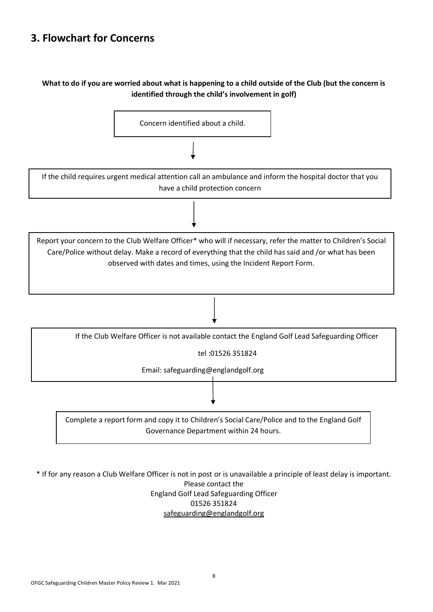### **3. Flowchart for Concerns**

#### **What to do if you are worried about what is happening to a child outside of the Club (but the concern is identified through the child's involvement in golf)**



\* If for any reason a Club Welfare Officer is not in post or is unavailable a principle of least delay is important.

Please contact the England Golf Lead Safeguarding Officer 01526 351824 [safeguarding@englandgolf.org](mailto:safeguarding@englandgolf.org)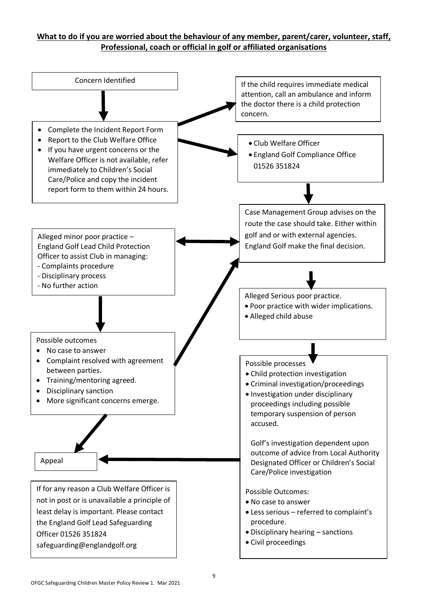### **What to do if you are worried about the behaviour of any member, parent/carer, volunteer, staff, Professional, coach or official in golf or affiliated organisations**

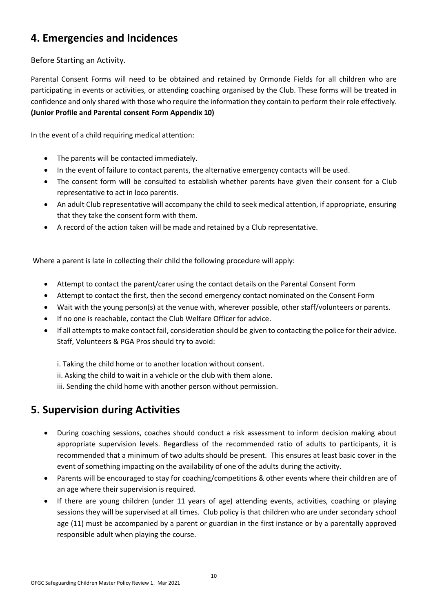### **4. Emergencies and Incidences**

#### Before Starting an Activity.

Parental Consent Forms will need to be obtained and retained by Ormonde Fields for all children who are participating in events or activities, or attending coaching organised by the Club. These forms will be treated in confidence and only shared with those who require the information they contain to perform their role effectively. **(Junior Profile and Parental consent Form Appendix 10)**

In the event of a child requiring medical attention:

- The parents will be contacted immediately.
- In the event of failure to contact parents, the alternative emergency contacts will be used.
- The consent form will be consulted to establish whether parents have given their consent for a Club representative to act in loco parentis.
- An adult Club representative will accompany the child to seek medical attention, if appropriate, ensuring that they take the consent form with them.
- A record of the action taken will be made and retained by a Club representative.

Where a parent is late in collecting their child the following procedure will apply:

- Attempt to contact the parent/carer using the contact details on the Parental Consent Form
- Attempt to contact the first, then the second emergency contact nominated on the Consent Form
- Wait with the young person(s) at the venue with, wherever possible, other staff/volunteers or parents.
- If no one is reachable, contact the Club Welfare Officer for advice.
- If all attempts to make contact fail, consideration should be given to contacting the police for their advice. Staff, Volunteers & PGA Pros should try to avoid:

i. Taking the child home or to another location without consent.

- ii. Asking the child to wait in a vehicle or the club with them alone.
- iii. Sending the child home with another person without permission.

### **5. Supervision during Activities**

- During coaching sessions, coaches should conduct a risk assessment to inform decision making about appropriate supervision levels. Regardless of the recommended ratio of adults to participants, it is recommended that a minimum of two adults should be present. This ensures at least basic cover in the event of something impacting on the availability of one of the adults during the activity.
- Parents will be encouraged to stay for coaching/competitions & other events where their children are of an age where their supervision is required.
- If there are young children (under 11 years of age) attending events, activities, coaching or playing sessions they will be supervised at all times. Club policy is that children who are under secondary school age (11) must be accompanied by a parent or guardian in the first instance or by a parentally approved responsible adult when playing the course.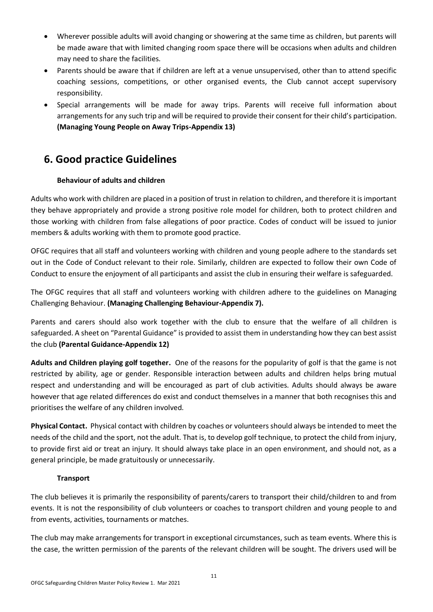- Wherever possible adults will avoid changing or showering at the same time as children, but parents will be made aware that with limited changing room space there will be occasions when adults and children may need to share the facilities.
- Parents should be aware that if children are left at a venue unsupervised, other than to attend specific coaching sessions, competitions, or other organised events, the Club cannot accept supervisory responsibility.
- Special arrangements will be made for away trips. Parents will receive full information about arrangements for any such trip and will be required to provide their consent for their child's participation. **(Managing Young People on Away Trips-Appendix 13)**

### **6. Good practice Guidelines**

#### **Behaviour of adults and children**

Adults who work with children are placed in a position of trust in relation to children, and therefore it is important they behave appropriately and provide a strong positive role model for children, both to protect children and those working with children from false allegations of poor practice. Codes of conduct will be issued to junior members & adults working with them to promote good practice.

OFGC requires that all staff and volunteers working with children and young people adhere to the standards set out in the Code of Conduct relevant to their role. Similarly, children are expected to follow their own Code of Conduct to ensure the enjoyment of all participants and assist the club in ensuring their welfare is safeguarded.

The OFGC requires that all staff and volunteers working with children adhere to the guidelines on Managing Challenging Behaviour. **(Managing Challenging Behaviour-Appendix 7).**

Parents and carers should also work together with the club to ensure that the welfare of all children is safeguarded. A sheet on "Parental Guidance" is provided to assist them in understanding how they can best assist the club **(Parental Guidance-Appendix 12)**

**Adults and Children playing golf together.** One of the reasons for the popularity of golf is that the game is not restricted by ability, age or gender. Responsible interaction between adults and children helps bring mutual respect and understanding and will be encouraged as part of club activities. Adults should always be aware however that age related differences do exist and conduct themselves in a manner that both recognises this and prioritises the welfare of any children involved.

**Physical Contact.** Physical contact with children by coaches or volunteers should always be intended to meet the needs of the child and the sport, not the adult. That is, to develop golf technique, to protect the child from injury, to provide first aid or treat an injury. It should always take place in an open environment, and should not, as a general principle, be made gratuitously or unnecessarily.

#### **Transport**

The club believes it is primarily the responsibility of parents/carers to transport their child/children to and from events. It is not the responsibility of club volunteers or coaches to transport children and young people to and from events, activities, tournaments or matches.

The club may make arrangements for transport in exceptional circumstances, such as team events. Where this is the case, the written permission of the parents of the relevant children will be sought. The drivers used will be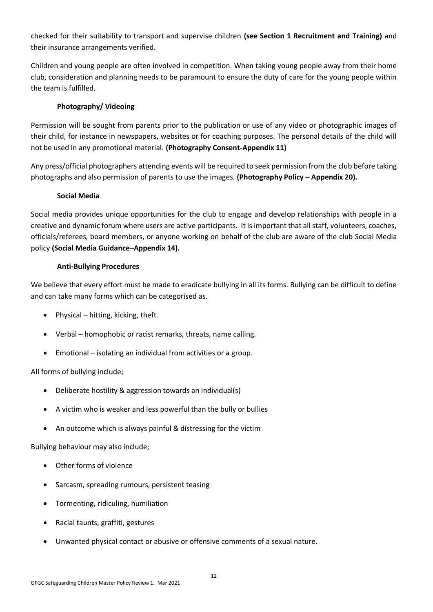checked for their suitability to transport and supervise children **(see Section 1 Recruitment and Training)** and their insurance arrangements verified.

Children and young people are often involved in competition. When taking young people away from their home club, consideration and planning needs to be paramount to ensure the duty of care for the young people within the team is fulfilled.

#### **Photography/ Videoing**

Permission will be sought from parents prior to the publication or use of any video or photographic images of their child, for instance in newspapers, websites or for coaching purposes. The personal details of the child will not be used in any promotional material. **(Photography Consent-Appendix 11)**

Any press/official photographers attending events will be required to seek permission from the club before taking photographs and also permission of parents to use the images. **(Photography Policy – Appendix 20).**

#### **Social Media**

Social media provides unique opportunities for the club to engage and develop relationships with people in a creative and dynamic forum where users are active participants. It is important that all staff, volunteers, coaches, officials/referees, board members, or anyone working on behalf of the club are aware of the club Social Media policy **(Social Media Guidance–Appendix 14).**

#### **Anti-Bullying Procedures**

We believe that every effort must be made to eradicate bullying in all its forms. Bullying can be difficult to define and can take many forms which can be categorised as.

- Physical hitting, kicking, theft.
- Verbal homophobic or racist remarks, threats, name calling.
- Emotional isolating an individual from activities or a group.

All forms of bullying include;

- Deliberate hostility & aggression towards an individual(s)
- A victim who is weaker and less powerful than the bully or bullies
- An outcome which is always painful & distressing for the victim

Bullying behaviour may also include;

- Other forms of violence
- Sarcasm, spreading rumours, persistent teasing
- Tormenting, ridiculing, humiliation
- Racial taunts, graffiti, gestures
- Unwanted physical contact or abusive or offensive comments of a sexual nature.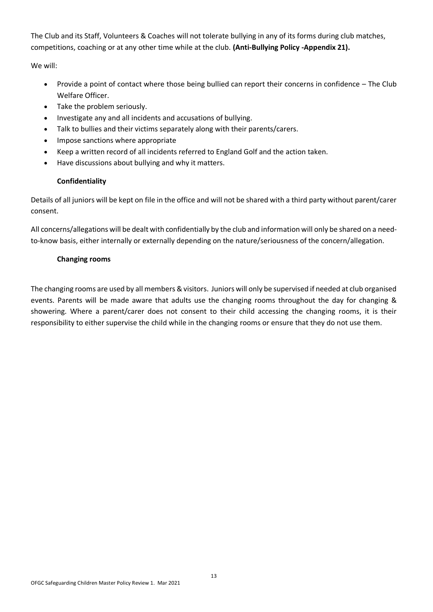The Club and its Staff, Volunteers & Coaches will not tolerate bullying in any of its forms during club matches, competitions, coaching or at any other time while at the club. **(Anti-Bullying Policy -Appendix 21).**

We will:

- Provide a point of contact where those being bullied can report their concerns in confidence The Club Welfare Officer.
- Take the problem seriously.
- Investigate any and all incidents and accusations of bullying.
- Talk to bullies and their victims separately along with their parents/carers.
- Impose sanctions where appropriate
- Keep a written record of all incidents referred to England Golf and the action taken.
- Have discussions about bullying and why it matters.

#### **Confidentiality**

Details of all juniors will be kept on file in the office and will not be shared with a third party without parent/carer consent.

All concerns/allegations will be dealt with confidentially by the club and information will only be shared on a needto-know basis, either internally or externally depending on the nature/seriousness of the concern/allegation.

#### **Changing rooms**

The changing rooms are used by all members & visitors. Juniors will only be supervised if needed at club organised events. Parents will be made aware that adults use the changing rooms throughout the day for changing & showering. Where a parent/carer does not consent to their child accessing the changing rooms, it is their responsibility to either supervise the child while in the changing rooms or ensure that they do not use them.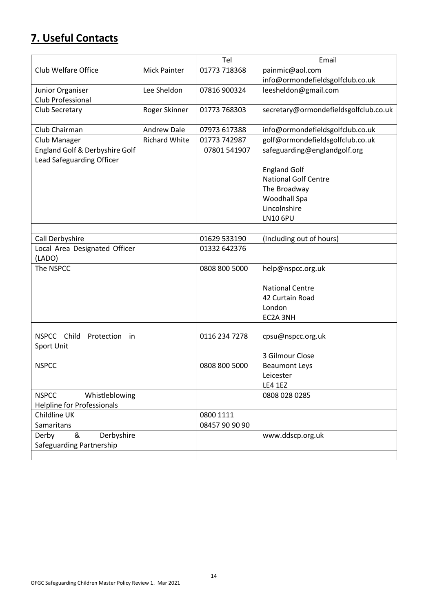### **7. Useful Contacts**

|                                |                      | Tel          | Email                                 |
|--------------------------------|----------------------|--------------|---------------------------------------|
| Club Welfare Office            | <b>Mick Painter</b>  | 01773 718368 | painmic@aol.com                       |
|                                |                      |              | info@ormondefieldsgolfclub.co.uk      |
| Junior Organiser               | Lee Sheldon          | 07816 900324 | leesheldon@gmail.com                  |
| Club Professional              |                      |              |                                       |
| Club Secretary                 | Roger Skinner        | 01773 768303 | secretary@ormondefieldsgolfclub.co.uk |
|                                |                      |              |                                       |
| Club Chairman                  | Andrew Dale          | 07973 617388 | info@ormondefieldsgolfclub.co.uk      |
| Club Manager                   | <b>Richard White</b> | 01773 742987 | golf@ormondefieldsgolfclub.co.uk      |
| England Golf & Derbyshire Golf |                      | 07801 541907 | safeguarding@englandgolf.org          |
| Lead Safeguarding Officer      |                      |              |                                       |
|                                |                      |              | <b>England Golf</b>                   |
|                                |                      |              | <b>National Golf Centre</b>           |
|                                |                      |              | The Broadway                          |
|                                |                      |              | Woodhall Spa                          |
|                                |                      |              | Lincolnshire                          |
|                                |                      |              | LN10 6PU                              |
|                                |                      |              |                                       |

| Call Derbyshire                   | 01629 533190   | (Including out of hours) |
|-----------------------------------|----------------|--------------------------|
| Local Area Designated Officer     | 01332 642376   |                          |
| (LADO)                            |                |                          |
| The NSPCC                         | 0808 800 5000  | help@nspcc.org.uk        |
|                                   |                |                          |
|                                   |                | <b>National Centre</b>   |
|                                   |                | 42 Curtain Road          |
|                                   |                | London                   |
|                                   |                | EC2A 3NH                 |
|                                   |                |                          |
| NSPCC Child<br>Protection<br>in   | 0116 234 7278  | cpsu@nspcc.org.uk        |
| Sport Unit                        |                |                          |
|                                   |                | 3 Gilmour Close          |
| <b>NSPCC</b>                      | 0808 800 5000  | <b>Beaumont Leys</b>     |
|                                   |                | Leicester                |
|                                   |                | <b>LE4 1EZ</b>           |
| <b>NSPCC</b><br>Whistleblowing    |                | 0808 028 0285            |
| <b>Helpline for Professionals</b> |                |                          |
| Childline UK                      | 0800 1111      |                          |
| Samaritans                        | 08457 90 90 90 |                          |
| &<br>Derbyshire<br>Derby          |                | www.ddscp.org.uk         |
| Safeguarding Partnership          |                |                          |
|                                   |                |                          |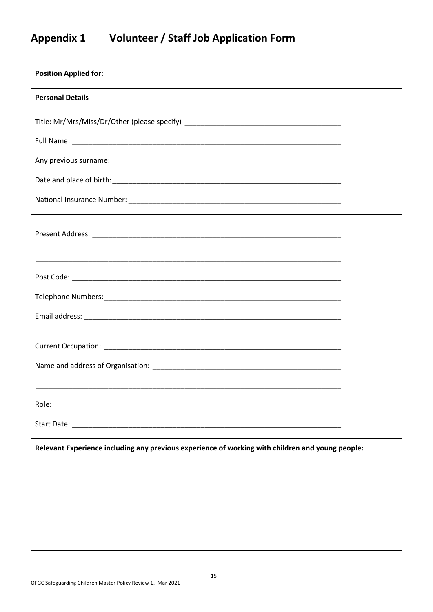### **Appendix 1 Volunteer / Staff Job Application Form**

| <b>Position Applied for:</b>                                                                                          |  |  |  |
|-----------------------------------------------------------------------------------------------------------------------|--|--|--|
| <b>Personal Details</b>                                                                                               |  |  |  |
|                                                                                                                       |  |  |  |
|                                                                                                                       |  |  |  |
|                                                                                                                       |  |  |  |
|                                                                                                                       |  |  |  |
|                                                                                                                       |  |  |  |
|                                                                                                                       |  |  |  |
| <u> 1989 - Johann Harry Harry Harry Harry Harry Harry Harry Harry Harry Harry Harry Harry Harry Harry Harry Harry</u> |  |  |  |
|                                                                                                                       |  |  |  |
|                                                                                                                       |  |  |  |
|                                                                                                                       |  |  |  |
|                                                                                                                       |  |  |  |
|                                                                                                                       |  |  |  |
|                                                                                                                       |  |  |  |
|                                                                                                                       |  |  |  |
|                                                                                                                       |  |  |  |
| Relevant Experience including any previous experience of working with children and young people:                      |  |  |  |
|                                                                                                                       |  |  |  |
|                                                                                                                       |  |  |  |
|                                                                                                                       |  |  |  |
|                                                                                                                       |  |  |  |
|                                                                                                                       |  |  |  |

 $\mathsf{l}$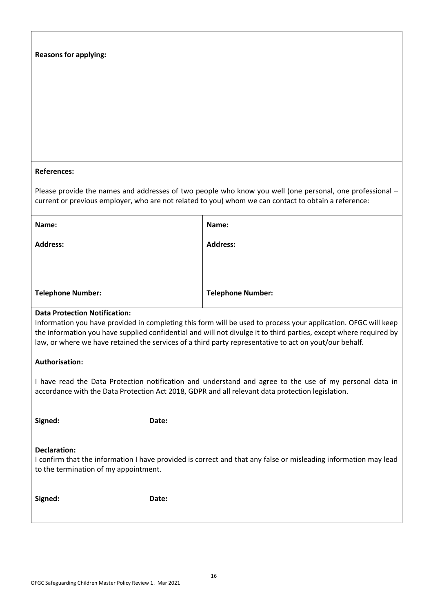| <b>Reasons for applying:</b><br><b>References:</b>                                                                                                                                                                                                                                                                                                                                    |                                                                                                                                                                                                                  |  |
|---------------------------------------------------------------------------------------------------------------------------------------------------------------------------------------------------------------------------------------------------------------------------------------------------------------------------------------------------------------------------------------|------------------------------------------------------------------------------------------------------------------------------------------------------------------------------------------------------------------|--|
|                                                                                                                                                                                                                                                                                                                                                                                       | Please provide the names and addresses of two people who know you well (one personal, one professional -<br>current or previous employer, who are not related to you) whom we can contact to obtain a reference: |  |
| Name:                                                                                                                                                                                                                                                                                                                                                                                 | Name:                                                                                                                                                                                                            |  |
| <b>Address:</b>                                                                                                                                                                                                                                                                                                                                                                       | <b>Address:</b>                                                                                                                                                                                                  |  |
| <b>Telephone Number:</b>                                                                                                                                                                                                                                                                                                                                                              | <b>Telephone Number:</b>                                                                                                                                                                                         |  |
| <b>Data Protection Notification:</b><br>Information you have provided in completing this form will be used to process your application. OFGC will keep<br>the information you have supplied confidential and will not divulge it to third parties, except where required by<br>law, or where we have retained the services of a third party representative to act on yout/our behalf. |                                                                                                                                                                                                                  |  |
| <b>Authorisation:</b>                                                                                                                                                                                                                                                                                                                                                                 |                                                                                                                                                                                                                  |  |
| I have read the Data Protection notification and understand and agree to the use of my personal data in<br>accordance with the Data Protection Act 2018, GDPR and all relevant data protection legislation.                                                                                                                                                                           |                                                                                                                                                                                                                  |  |
| Signed:<br>Date:                                                                                                                                                                                                                                                                                                                                                                      |                                                                                                                                                                                                                  |  |
| <b>Declaration:</b><br>I confirm that the information I have provided is correct and that any false or misleading information may lead<br>to the termination of my appointment.                                                                                                                                                                                                       |                                                                                                                                                                                                                  |  |
| Signed:<br>Date:                                                                                                                                                                                                                                                                                                                                                                      |                                                                                                                                                                                                                  |  |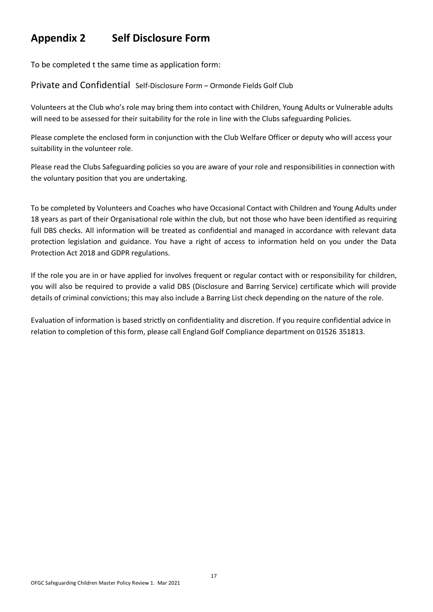### **Appendix 2 Self Disclosure Form**

To be completed t the same time as application form:

Private and Confidential Self-Disclosure Form – Ormonde Fields Golf Club

Volunteers at the Club who's role may bring them into contact with Children, Young Adults or Vulnerable adults will need to be assessed for their suitability for the role in line with the Clubs safeguarding Policies.

Please complete the enclosed form in conjunction with the Club Welfare Officer or deputy who will access your suitability in the volunteer role.

Please read the Clubs Safeguarding policies so you are aware of your role and responsibilities in connection with the voluntary position that you are undertaking.

To be completed by Volunteers and Coaches who have Occasional Contact with Children and Young Adults under 18 years as part of their Organisational role within the club, but not those who have been identified as requiring full DBS checks. All information will be treated as confidential and managed in accordance with relevant data protection legislation and guidance. You have a right of access to information held on you under the Data Protection Act 2018 and GDPR regulations.

If the role you are in or have applied for involves frequent or regular contact with or responsibility for children, you will also be required to provide a valid DBS (Disclosure and Barring Service) certificate which will provide details of criminal convictions; this may also include a Barring List check depending on the nature of the role.

Evaluation of information is based strictly on confidentiality and discretion. If you require confidential advice in relation to completion of this form, please call England Golf Compliance department on 01526 351813.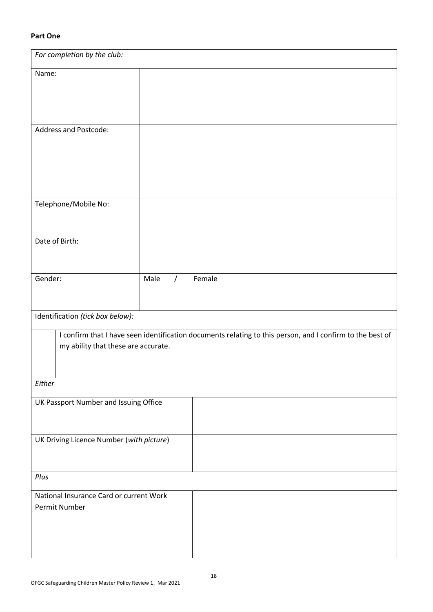#### **Part One**

| For completion by the club:                              |                                                                                                           |  |
|----------------------------------------------------------|-----------------------------------------------------------------------------------------------------------|--|
| Name:                                                    |                                                                                                           |  |
|                                                          |                                                                                                           |  |
|                                                          |                                                                                                           |  |
| Address and Postcode:                                    |                                                                                                           |  |
|                                                          |                                                                                                           |  |
|                                                          |                                                                                                           |  |
|                                                          |                                                                                                           |  |
| Telephone/Mobile No:                                     |                                                                                                           |  |
|                                                          |                                                                                                           |  |
| Date of Birth:                                           |                                                                                                           |  |
|                                                          |                                                                                                           |  |
| Gender:                                                  | Male<br>Female<br>$\prime$                                                                                |  |
|                                                          |                                                                                                           |  |
| Identification (tick box below):                         |                                                                                                           |  |
|                                                          | I confirm that I have seen identification documents relating to this person, and I confirm to the best of |  |
| my ability that these are accurate.                      |                                                                                                           |  |
|                                                          |                                                                                                           |  |
| Either                                                   |                                                                                                           |  |
| UK Passport Number and Issuing Office                    |                                                                                                           |  |
|                                                          |                                                                                                           |  |
| UK Driving Licence Number (with picture)                 |                                                                                                           |  |
|                                                          |                                                                                                           |  |
| Plus                                                     |                                                                                                           |  |
| National Insurance Card or current Work<br>Permit Number |                                                                                                           |  |
|                                                          |                                                                                                           |  |
|                                                          |                                                                                                           |  |
|                                                          |                                                                                                           |  |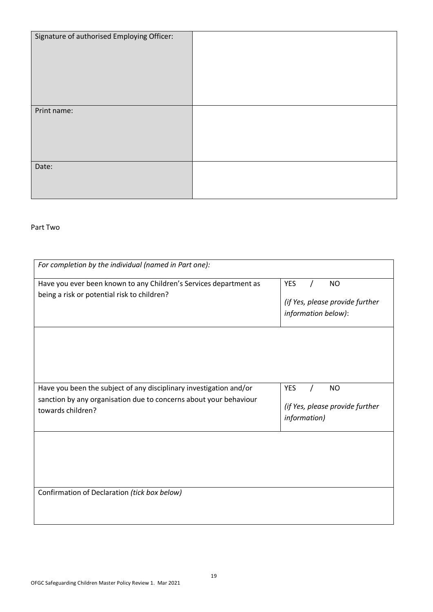| Signature of authorised Employing Officer: |  |
|--------------------------------------------|--|
|                                            |  |
| Print name:                                |  |
| Date:                                      |  |

#### Part Two

| For completion by the individual (named in Part one):                                                                                                        |                                                                                   |
|--------------------------------------------------------------------------------------------------------------------------------------------------------------|-----------------------------------------------------------------------------------|
| Have you ever been known to any Children's Services department as<br>being a risk or potential risk to children?                                             | <b>YES</b><br><b>NO</b><br>(if Yes, please provide further<br>information below): |
| Have you been the subject of any disciplinary investigation and/or<br>sanction by any organisation due to concerns about your behaviour<br>towards children? | <b>YES</b><br><b>NO</b><br>(if Yes, please provide further<br>information)        |
|                                                                                                                                                              |                                                                                   |
| Confirmation of Declaration (tick box below)                                                                                                                 |                                                                                   |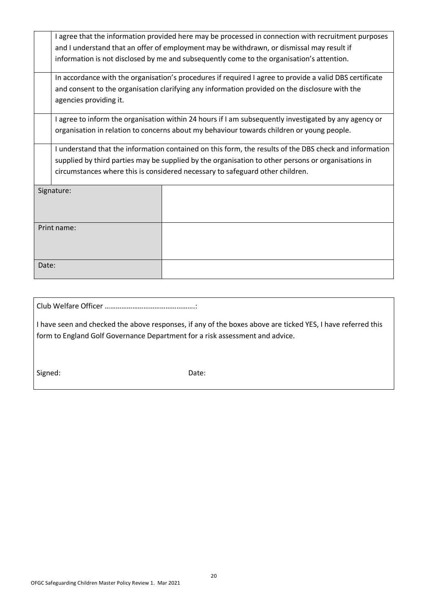| I agree that the information provided here may be processed in connection with recruitment purposes     |  |  |
|---------------------------------------------------------------------------------------------------------|--|--|
| and I understand that an offer of employment may be withdrawn, or dismissal may result if               |  |  |
| information is not disclosed by me and subsequently come to the organisation's attention.               |  |  |
| In accordance with the organisation's procedures if required I agree to provide a valid DBS certificate |  |  |
| and consent to the organisation clarifying any information provided on the disclosure with the          |  |  |
| agencies providing it.                                                                                  |  |  |
| I agree to inform the organisation within 24 hours if I am subsequently investigated by any agency or   |  |  |
| organisation in relation to concerns about my behaviour towards children or young people.               |  |  |
| I understand that the information contained on this form, the results of the DBS check and information  |  |  |
| supplied by third parties may be supplied by the organisation to other persons or organisations in      |  |  |
| circumstances where this is considered necessary to safeguard other children.                           |  |  |
| Signature:                                                                                              |  |  |
|                                                                                                         |  |  |
|                                                                                                         |  |  |
| Print name:                                                                                             |  |  |
|                                                                                                         |  |  |
|                                                                                                         |  |  |
| Date:                                                                                                   |  |  |
|                                                                                                         |  |  |
|                                                                                                         |  |  |

Club Welfare Officer ………………………………………….:

I have seen and checked the above responses, if any of the boxes above are ticked YES, I have referred this form to England Golf Governance Department for a risk assessment and advice.

Signed: Date: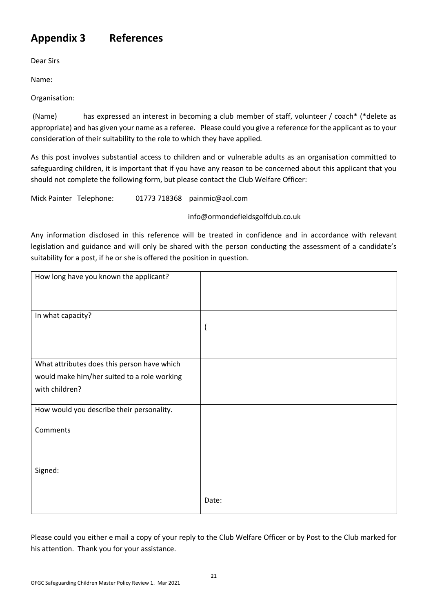### **Appendix 3 References**

Dear Sirs

Name:

Organisation:

(Name) has expressed an interest in becoming a club member of staff, volunteer / coach\* (\*delete as appropriate) and has given your name as a referee. Please could you give a reference for the applicant as to your consideration of their suitability to the role to which they have applied.

As this post involves substantial access to children and or vulnerable adults as an organisation committed to safeguarding children, it is important that if you have any reason to be concerned about this applicant that you should not complete the following form, but please contact the Club Welfare Officer:

Mick Painter Telephone: 01773 718368 [painmic@aol.com](mailto:painmic@aol.com)

info@ormondefieldsgolfclub.co.uk

Any information disclosed in this reference will be treated in confidence and in accordance with relevant legislation and guidance and will only be shared with the person conducting the assessment of a candidate's suitability for a post, if he or she is offered the position in question.

| How long have you known the applicant?      |       |
|---------------------------------------------|-------|
| In what capacity?                           | -1    |
| What attributes does this person have which |       |
| would make him/her suited to a role working |       |
| with children?                              |       |
| How would you describe their personality.   |       |
| Comments                                    |       |
| Signed:                                     |       |
|                                             | Date: |

Please could you either e mail a copy of your reply to the Club Welfare Officer or by Post to the Club marked for his attention. Thank you for your assistance.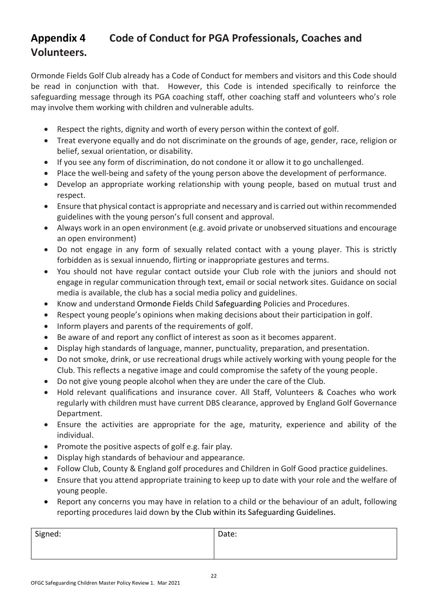### **Appendix 4 Code of Conduct for PGA Professionals, Coaches and Volunteers.**

Ormonde Fields Golf Club already has a Code of Conduct for members and visitors and this Code should be read in conjunction with that. However, this Code is intended specifically to reinforce the safeguarding message through its PGA coaching staff, other coaching staff and volunteers who's role may involve them working with children and vulnerable adults.

- Respect the rights, dignity and worth of every person within the context of golf.
- Treat everyone equally and do not discriminate on the grounds of age, gender, race, religion or belief, sexual orientation, or disability.
- If you see any form of discrimination, do not condone it or allow it to go unchallenged.
- Place the well-being and safety of the young person above the development of performance.
- Develop an appropriate working relationship with young people, based on mutual trust and respect.
- Ensure that physical contact is appropriate and necessary and is carried out within recommended guidelines with the young person's full consent and approval.
- Always work in an open environment (e.g. avoid private or unobserved situations and encourage an open environment)
- Do not engage in any form of sexually related contact with a young player. This is strictly forbidden as is sexual innuendo, flirting or inappropriate gestures and terms.
- You should not have regular contact outside your Club role with the juniors and should not engage in regular communication through text, email or social network sites. Guidance on social media is available, the club has a social media policy and guidelines.
- Know and understand Ormonde Fields Child Safeguarding Policies and Procedures.
- Respect young people's opinions when making decisions about their participation in golf.
- Inform players and parents of the requirements of golf.
- Be aware of and report any conflict of interest as soon as it becomes apparent.
- Display high standards of language, manner, punctuality, preparation, and presentation.
- Do not smoke, drink, or use recreational drugs while actively working with young people for the Club. This reflects a negative image and could compromise the safety of the young people.
- Do not give young people alcohol when they are under the care of the Club.
- Hold relevant qualifications and insurance cover. All Staff, Volunteers & Coaches who work regularly with children must have current DBS clearance, approved by England Golf Governance Department.
- Ensure the activities are appropriate for the age, maturity, experience and ability of the individual.
- Promote the positive aspects of golf e.g. fair play.
- Display high standards of behaviour and appearance.
- Follow Club, County & England golf procedures and Children in Golf Good practice guidelines.
- Ensure that you attend appropriate training to keep up to date with your role and the welfare of young people.
- Report any concerns you may have in relation to a child or the behaviour of an adult, following reporting procedures laid down by the Club within its Safeguarding Guidelines.

| Signed: | Date: |
|---------|-------|
|         |       |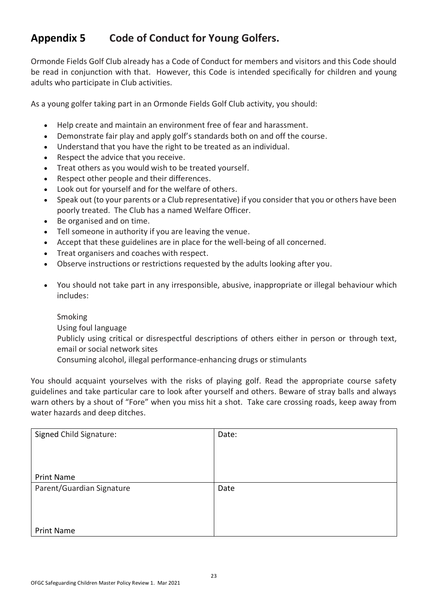### **Appendix 5 Code of Conduct for Young Golfers.**

Ormonde Fields Golf Club already has a Code of Conduct for members and visitors and this Code should be read in conjunction with that. However, this Code is intended specifically for children and young adults who participate in Club activities.

As a young golfer taking part in an Ormonde Fields Golf Club activity, you should:

- Help create and maintain an environment free of fear and harassment.
- Demonstrate fair play and apply golf's standards both on and off the course.
- Understand that you have the right to be treated as an individual.
- Respect the advice that you receive.
- Treat others as you would wish to be treated yourself.
- Respect other people and their differences.
- Look out for yourself and for the welfare of others.
- Speak out (to your parents or a Club representative) if you consider that you or others have been poorly treated. The Club has a named Welfare Officer.
- Be organised and on time.
- Tell someone in authority if you are leaving the venue.
- Accept that these guidelines are in place for the well-being of all concerned.
- Treat organisers and coaches with respect.
- Observe instructions or restrictions requested by the adults looking after you.
- You should not take part in any irresponsible, abusive, inappropriate or illegal behaviour which includes:

Smoking

Using foul language

Publicly using critical or disrespectful descriptions of others either in person or through text, email or social network sites

Consuming alcohol, illegal performance-enhancing drugs or stimulants

You should acquaint yourselves with the risks of playing golf. Read the appropriate course safety guidelines and take particular care to look after yourself and others. Beware of stray balls and always warn others by a shout of "Fore" when you miss hit a shot. Take care crossing roads, keep away from water hazards and deep ditches.

| Signed Child Signature:   | Date: |
|---------------------------|-------|
|                           |       |
|                           |       |
|                           |       |
| <b>Print Name</b>         |       |
| Parent/Guardian Signature | Date  |
|                           |       |
|                           |       |
|                           |       |
| <b>Print Name</b>         |       |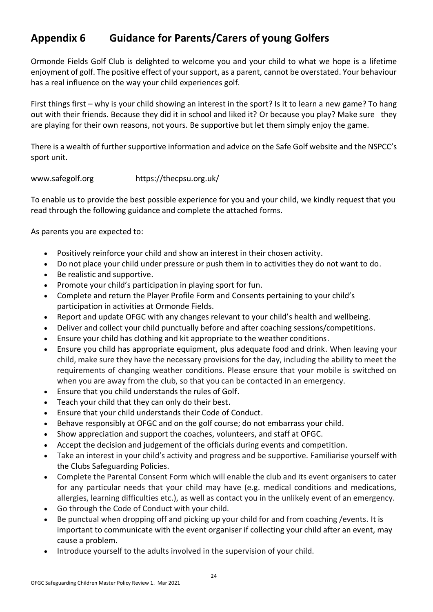### **Appendix 6 Guidance for Parents/Carers of young Golfers**

Ormonde Fields Golf Club is delighted to welcome you and your child to what we hope is a lifetime enjoyment of golf. The positive effect of your support, as a parent, cannot be overstated. Your behaviour has a real influence on the way your child experiences golf.

First things first – why is your child showing an interest in the sport? Is it to learn a new game? To hang out with their friends. Because they did it in school and liked it? Or because you play? Make sure they are playing for their own reasons, not yours. Be supportive but let them simply enjoy the game.

There is a wealth of further supportive information and advice on the Safe Golf website and the NSPCC's sport unit.

#### [www.safegolf.org](http://www.safegolf.org/) <https://thecpsu.org.uk/>

To enable us to provide the best possible experience for you and your child, we kindly request that you read through the following guidance and complete the attached forms.

As parents you are expected to:

- Positively reinforce your child and show an interest in their chosen activity.
- Do not place your child under pressure or push them in to activities they do not want to do.
- Be realistic and supportive.
- Promote your child's participation in playing sport for fun.
- Complete and return the Player Profile Form and Consents pertaining to your child's participation in activities at Ormonde Fields.
- Report and update OFGC with any changes relevant to your child's health and wellbeing.
- Deliver and collect your child punctually before and after coaching sessions/competitions.
- Ensure your child has clothing and kit appropriate to the weather conditions.
- Ensure you child has appropriate equipment, plus adequate food and drink. When leaving your child, make sure they have the necessary provisions for the day, including the ability to meet the requirements of changing weather conditions. Please ensure that your mobile is switched on when you are away from the club, so that you can be contacted in an emergency.
- Ensure that you child understands the rules of Golf.
- Teach your child that they can only do their best.
- Ensure that your child understands their Code of Conduct.
- Behave responsibly at OFGC and on the golf course; do not embarrass your child.
- Show appreciation and support the coaches, volunteers, and staff at OFGC.
- Accept the decision and judgement of the officials during events and competition.
- Take an interest in your child's activity and progress and be supportive. Familiarise yourself with the Clubs Safeguarding Policies.
- Complete the Parental Consent Form which will enable the club and its event organisers to cater for any particular needs that your child may have (e.g. medical conditions and medications, allergies, learning difficulties etc.), as well as contact you in the unlikely event of an emergency.
- Go through the Code of Conduct with your child.
- Be punctual when dropping off and picking up your child for and from coaching /events. It is important to communicate with the event organiser if collecting your child after an event, may cause a problem.
- Introduce yourself to the adults involved in the supervision of your child.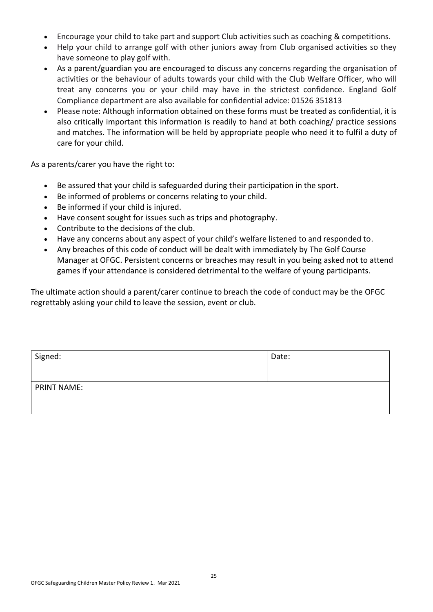- Encourage your child to take part and support Club activities such as coaching & competitions.
- Help your child to arrange golf with other juniors away from Club organised activities so they have someone to play golf with.
- As a parent/guardian you are encouraged to discuss any concerns regarding the organisation of activities or the behaviour of adults towards your child with the Club Welfare Officer, who will treat any concerns you or your child may have in the strictest confidence. England Golf Compliance department are also available for confidential advice: 01526 351813
- Please note: Although information obtained on these forms must be treated as confidential, it is also critically important this information is readily to hand at both coaching/ practice sessions and matches. The information will be held by appropriate people who need it to fulfil a duty of care for your child.

As a parents/carer you have the right to:

- Be assured that your child is safeguarded during their participation in the sport.
- Be informed of problems or concerns relating to your child.
- Be informed if your child is injured.
- Have consent sought for issues such as trips and photography.
- Contribute to the decisions of the club.
- Have any concerns about any aspect of your child's welfare listened to and responded to.
- Any breaches of this code of conduct will be dealt with immediately by The Golf Course Manager at OFGC. Persistent concerns or breaches may result in you being asked not to attend games if your attendance is considered detrimental to the welfare of young participants.

The ultimate action should a parent/carer continue to breach the code of conduct may be the OFGC regrettably asking your child to leave the session, event or club.

| Signed:            | Date: |
|--------------------|-------|
| <b>PRINT NAME:</b> |       |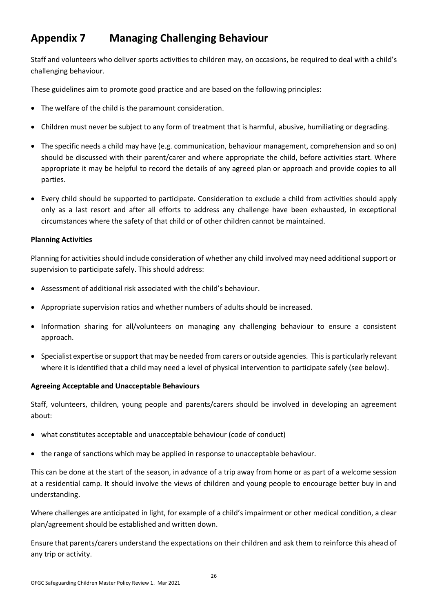### **Appendix 7 Managing Challenging Behaviour**

Staff and volunteers who deliver sports activities to children may, on occasions, be required to deal with a child's challenging behaviour.

These guidelines aim to promote good practice and are based on the following principles:

- The welfare of the child is the paramount consideration.
- Children must never be subject to any form of treatment that is harmful, abusive, humiliating or degrading.
- The specific needs a child may have (e.g. communication, behaviour management, comprehension and so on) should be discussed with their parent/carer and where appropriate the child, before activities start. Where appropriate it may be helpful to record the details of any agreed plan or approach and provide copies to all parties.
- Every child should be supported to participate. Consideration to exclude a child from activities should apply only as a last resort and after all efforts to address any challenge have been exhausted, in exceptional circumstances where the safety of that child or of other children cannot be maintained.

#### **Planning Activities**

Planning for activities should include consideration of whether any child involved may need additional support or supervision to participate safely. This should address:

- Assessment of additional risk associated with the child's behaviour.
- Appropriate supervision ratios and whether numbers of adults should be increased.
- Information sharing for all/volunteers on managing any challenging behaviour to ensure a consistent approach.
- Specialist expertise or support that may be needed from carers or outside agencies. This is particularly relevant where it is identified that a child may need a level of physical intervention to participate safely (see below).

#### **Agreeing Acceptable and Unacceptable Behaviours**

Staff, volunteers, children, young people and parents/carers should be involved in developing an agreement about:

- what constitutes acceptable and unacceptable behaviour (code of conduct)
- the range of sanctions which may be applied in response to unacceptable behaviour.

This can be done at the start of the season, in advance of a trip away from home or as part of a welcome session at a residential camp. It should involve the views of children and young people to encourage better buy in and understanding.

Where challenges are anticipated in light, for example of a child's impairment or other medical condition, a clear plan/agreement should be established and written down.

Ensure that parents/carers understand the expectations on their children and ask them to reinforce this ahead of any trip or activity.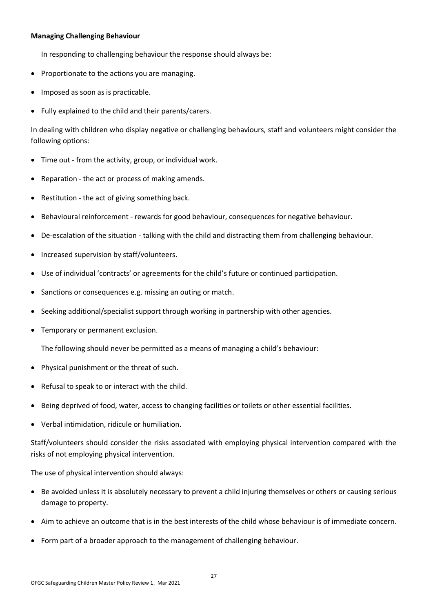#### **Managing Challenging Behaviour**

In responding to challenging behaviour the response should always be:

- Proportionate to the actions you are managing.
- Imposed as soon as is practicable.
- Fully explained to the child and their parents/carers.

In dealing with children who display negative or challenging behaviours, staff and volunteers might consider the following options:

- Time out from the activity, group, or individual work.
- Reparation the act or process of making amends.
- Restitution the act of giving something back.
- Behavioural reinforcement rewards for good behaviour, consequences for negative behaviour.
- De-escalation of the situation talking with the child and distracting them from challenging behaviour.
- Increased supervision by staff/volunteers.
- Use of individual 'contracts' or agreements for the child's future or continued participation.
- Sanctions or consequences e.g. missing an outing or match.
- Seeking additional/specialist support through working in partnership with other agencies.
- Temporary or permanent exclusion.

The following should never be permitted as a means of managing a child's behaviour:

- Physical punishment or the threat of such.
- Refusal to speak to or interact with the child.
- Being deprived of food, water, access to changing facilities or toilets or other essential facilities.
- Verbal intimidation, ridicule or humiliation.

Staff/volunteers should consider the risks associated with employing physical intervention compared with the risks of not employing physical intervention.

The use of physical intervention should always:

- Be avoided unless it is absolutely necessary to prevent a child injuring themselves or others or causing serious damage to property.
- Aim to achieve an outcome that is in the best interests of the child whose behaviour is of immediate concern.
- Form part of a broader approach to the management of challenging behaviour.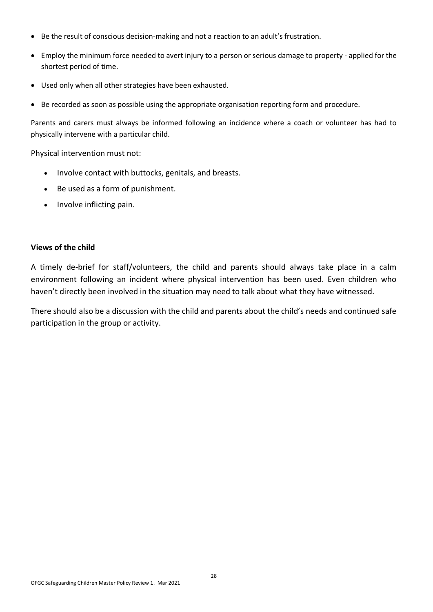- Be the result of conscious decision-making and not a reaction to an adult's frustration.
- Employ the minimum force needed to avert injury to a person or serious damage to property applied for the shortest period of time.
- Used only when all other strategies have been exhausted.
- Be recorded as soon as possible using the appropriate organisation reporting form and procedure.

Parents and carers must always be informed following an incidence where a coach or volunteer has had to physically intervene with a particular child.

Physical intervention must not:

- Involve contact with buttocks, genitals, and breasts.
- Be used as a form of punishment.
- Involve inflicting pain.

#### **Views of the child**

A timely de-brief for staff/volunteers, the child and parents should always take place in a calm environment following an incident where physical intervention has been used. Even children who haven't directly been involved in the situation may need to talk about what they have witnessed.

There should also be a discussion with the child and parents about the child's needs and continued safe participation in the group or activity.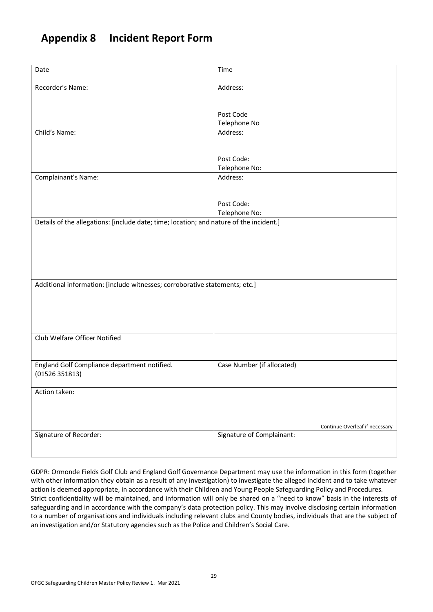### **Appendix 8 Incident Report Form**

| Date                                                                                    | Time                           |  |  |  |  |
|-----------------------------------------------------------------------------------------|--------------------------------|--|--|--|--|
| Recorder's Name:                                                                        | Address:                       |  |  |  |  |
|                                                                                         |                                |  |  |  |  |
|                                                                                         | Post Code                      |  |  |  |  |
|                                                                                         | Telephone No                   |  |  |  |  |
| Child's Name:                                                                           | Address:                       |  |  |  |  |
|                                                                                         |                                |  |  |  |  |
|                                                                                         | Post Code:                     |  |  |  |  |
|                                                                                         | Telephone No:                  |  |  |  |  |
| Complainant's Name:                                                                     | Address:                       |  |  |  |  |
|                                                                                         |                                |  |  |  |  |
|                                                                                         | Post Code:                     |  |  |  |  |
|                                                                                         | Telephone No:                  |  |  |  |  |
| Details of the allegations: [include date; time; location; and nature of the incident.] |                                |  |  |  |  |
|                                                                                         |                                |  |  |  |  |
|                                                                                         |                                |  |  |  |  |
|                                                                                         |                                |  |  |  |  |
|                                                                                         |                                |  |  |  |  |
|                                                                                         |                                |  |  |  |  |
| Additional information: [include witnesses; corroborative statements; etc.]             |                                |  |  |  |  |
|                                                                                         |                                |  |  |  |  |
|                                                                                         |                                |  |  |  |  |
|                                                                                         |                                |  |  |  |  |
|                                                                                         |                                |  |  |  |  |
| Club Welfare Officer Notified                                                           |                                |  |  |  |  |
|                                                                                         |                                |  |  |  |  |
|                                                                                         |                                |  |  |  |  |
| England Golf Compliance department notified.<br>(01526351813)                           | Case Number (if allocated)     |  |  |  |  |
|                                                                                         |                                |  |  |  |  |
| Action taken:                                                                           |                                |  |  |  |  |
|                                                                                         |                                |  |  |  |  |
|                                                                                         |                                |  |  |  |  |
|                                                                                         | Continue Overleaf if necessary |  |  |  |  |
| Signature of Recorder:                                                                  | Signature of Complainant:      |  |  |  |  |
|                                                                                         |                                |  |  |  |  |
|                                                                                         |                                |  |  |  |  |

GDPR: Ormonde Fields Golf Club and England Golf Governance Department may use the information in this form (together with other information they obtain as a result of any investigation) to investigate the alleged incident and to take whatever action is deemed appropriate, in accordance with their Children and Young People Safeguarding Policy and Procedures. Strict confidentiality will be maintained, and information will only be shared on a "need to know" basis in the interests of safeguarding and in accordance with the company's data protection policy. This may involve disclosing certain information to a number of organisations and individuals including relevant clubs and County bodies, individuals that are the subject of an investigation and/or Statutory agencies such as the Police and Children's Social Care.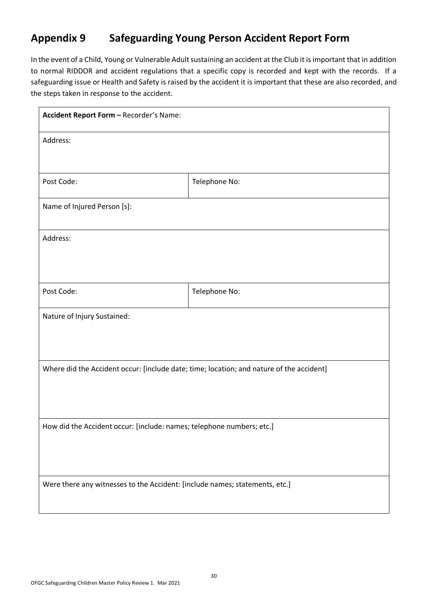### **Appendix 9 Safeguarding Young Person Accident Report Form**

In the event of a Child, Young or Vulnerable Adult sustaining an accident at the Club it is important that in addition to normal RIDDOR and accident regulations that a specific copy is recorded and kept with the records. If a safeguarding issue or Health and Safety is raised by the accident it is important that these are also recorded, and the steps taken in response to the accident.

| Accident Report Form - Recorder's Name:                                                  |               |  |  |  |
|------------------------------------------------------------------------------------------|---------------|--|--|--|
| Address:                                                                                 |               |  |  |  |
|                                                                                          |               |  |  |  |
| Post Code:                                                                               | Telephone No: |  |  |  |
| Name of Injured Person [s]:                                                              |               |  |  |  |
| Address:                                                                                 |               |  |  |  |
|                                                                                          |               |  |  |  |
| Post Code:                                                                               | Telephone No: |  |  |  |
| Nature of Injury Sustained:                                                              |               |  |  |  |
|                                                                                          |               |  |  |  |
| Where did the Accident occur: [include date; time; location; and nature of the accident] |               |  |  |  |
|                                                                                          |               |  |  |  |
|                                                                                          |               |  |  |  |
| How did the Accident occur: [include: names; telephone numbers; etc.]                    |               |  |  |  |
|                                                                                          |               |  |  |  |
| Were there any witnesses to the Accident: [include names; statements, etc.]              |               |  |  |  |
|                                                                                          |               |  |  |  |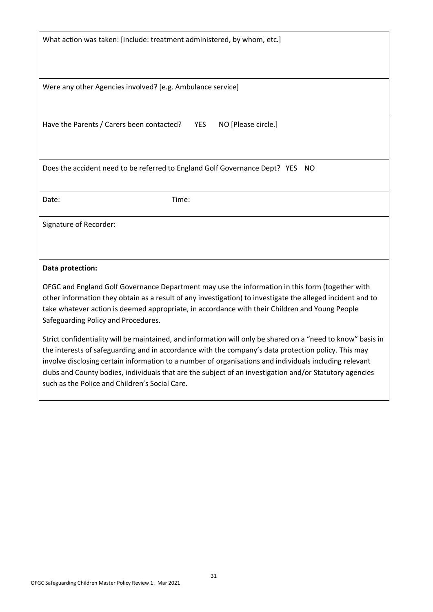What action was taken: [include: treatment administered, by whom, etc.]

Were any other Agencies involved? [e.g. Ambulance service]

Have the Parents / Carers been contacted? YES NO [Please circle.]

Does the accident need to be referred to England Golf Governance Dept? YES NO

Date: Time:

Signature of Recorder:

#### **Data protection:**

OFGC and England Golf Governance Department may use the information in this form (together with other information they obtain as a result of any investigation) to investigate the alleged incident and to take whatever action is deemed appropriate, in accordance with their Children and Young People Safeguarding Policy and Procedures.

Strict confidentiality will be maintained, and information will only be shared on a "need to know" basis in the interests of safeguarding and in accordance with the company's data protection policy. This may involve disclosing certain information to a number of organisations and individuals including relevant clubs and County bodies, individuals that are the subject of an investigation and/or Statutory agencies such as the Police and Children's Social Care.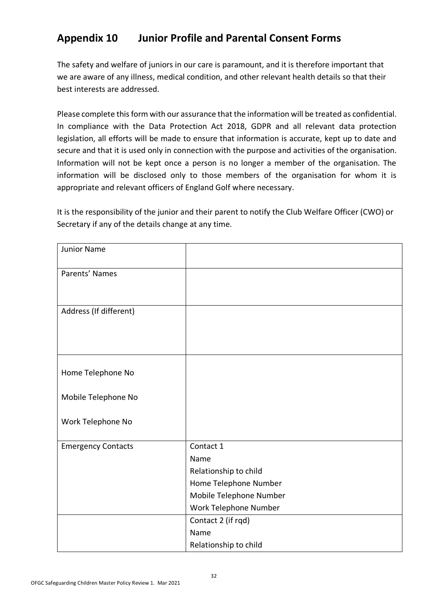### **Appendix 10 Junior Profile and Parental Consent Forms**

The safety and welfare of juniors in our care is paramount, and it is therefore important that we are aware of any illness, medical condition, and other relevant health details so that their best interests are addressed.

Please complete this form with our assurance that the information will be treated as confidential. In compliance with the Data Protection Act 2018, GDPR and all relevant data protection legislation, all efforts will be made to ensure that information is accurate, kept up to date and secure and that it is used only in connection with the purpose and activities of the organisation. Information will not be kept once a person is no longer a member of the organisation. The information will be disclosed only to those members of the organisation for whom it is appropriate and relevant officers of England Golf where necessary.

It is the responsibility of the junior and their parent to notify the Club Welfare Officer (CWO) or Secretary if any of the details change at any time.

| <b>Junior Name</b>        |                         |
|---------------------------|-------------------------|
| Parents' Names            |                         |
| Address (If different)    |                         |
| Home Telephone No         |                         |
| Mobile Telephone No       |                         |
| Work Telephone No         |                         |
| <b>Emergency Contacts</b> | Contact 1<br>Name       |
|                           | Relationship to child   |
|                           | Home Telephone Number   |
|                           | Mobile Telephone Number |
|                           | Work Telephone Number   |
|                           | Contact 2 (if rqd)      |
|                           | Name                    |
|                           | Relationship to child   |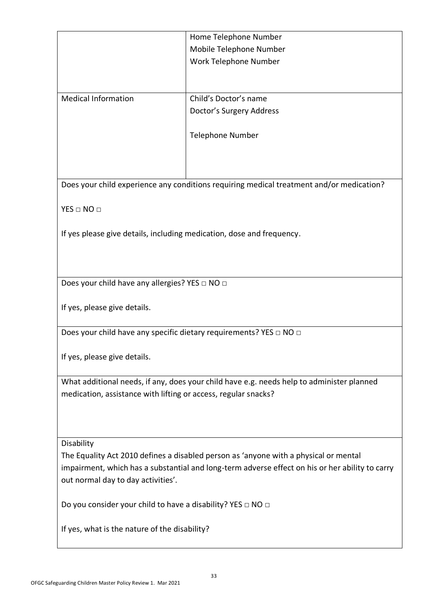|                                                                                                 | Home Telephone Number                                                                     |  |  |  |  |
|-------------------------------------------------------------------------------------------------|-------------------------------------------------------------------------------------------|--|--|--|--|
|                                                                                                 | Mobile Telephone Number                                                                   |  |  |  |  |
|                                                                                                 | Work Telephone Number                                                                     |  |  |  |  |
|                                                                                                 |                                                                                           |  |  |  |  |
|                                                                                                 |                                                                                           |  |  |  |  |
| <b>Medical Information</b>                                                                      | Child's Doctor's name                                                                     |  |  |  |  |
|                                                                                                 | Doctor's Surgery Address                                                                  |  |  |  |  |
|                                                                                                 |                                                                                           |  |  |  |  |
|                                                                                                 | <b>Telephone Number</b>                                                                   |  |  |  |  |
|                                                                                                 |                                                                                           |  |  |  |  |
|                                                                                                 |                                                                                           |  |  |  |  |
|                                                                                                 | Does your child experience any conditions requiring medical treatment and/or medication?  |  |  |  |  |
|                                                                                                 |                                                                                           |  |  |  |  |
| $YES \Box NO \Box$                                                                              |                                                                                           |  |  |  |  |
|                                                                                                 |                                                                                           |  |  |  |  |
| If yes please give details, including medication, dose and frequency.                           |                                                                                           |  |  |  |  |
|                                                                                                 |                                                                                           |  |  |  |  |
|                                                                                                 |                                                                                           |  |  |  |  |
|                                                                                                 |                                                                                           |  |  |  |  |
| Does your child have any allergies? YES $\Box$ NO $\Box$                                        |                                                                                           |  |  |  |  |
|                                                                                                 |                                                                                           |  |  |  |  |
|                                                                                                 | If yes, please give details.                                                              |  |  |  |  |
| Does your child have any specific dietary requirements? YES □ NO □                              |                                                                                           |  |  |  |  |
|                                                                                                 |                                                                                           |  |  |  |  |
| If yes, please give details.                                                                    |                                                                                           |  |  |  |  |
|                                                                                                 |                                                                                           |  |  |  |  |
|                                                                                                 | What additional needs, if any, does your child have e.g. needs help to administer planned |  |  |  |  |
| medication, assistance with lifting or access, regular snacks?                                  |                                                                                           |  |  |  |  |
|                                                                                                 |                                                                                           |  |  |  |  |
|                                                                                                 |                                                                                           |  |  |  |  |
|                                                                                                 |                                                                                           |  |  |  |  |
| Disability                                                                                      |                                                                                           |  |  |  |  |
| The Equality Act 2010 defines a disabled person as 'anyone with a physical or mental            |                                                                                           |  |  |  |  |
| impairment, which has a substantial and long-term adverse effect on his or her ability to carry |                                                                                           |  |  |  |  |
| out normal day to day activities'.                                                              |                                                                                           |  |  |  |  |
| Do you consider your child to have a disability? YES $\Box$ NO $\Box$                           |                                                                                           |  |  |  |  |
|                                                                                                 |                                                                                           |  |  |  |  |
| If yes, what is the nature of the disability?                                                   |                                                                                           |  |  |  |  |
|                                                                                                 |                                                                                           |  |  |  |  |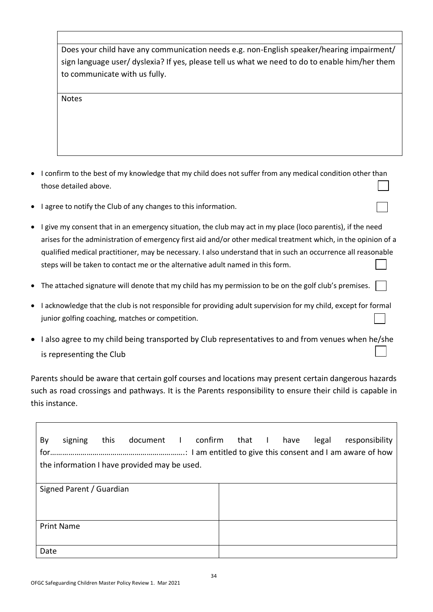Does your child have any communication needs e.g. non-English speaker/hearing impairment/ sign language user/ dyslexia? If yes, please tell us what we need to do to enable him/her them to communicate with us fully.

Notes

- I confirm to the best of my knowledge that my child does not suffer from any medical condition other than those detailed above.
- I agree to notify the Club of any changes to this information.
- I give my consent that in an emergency situation, the club may act in my place (loco parentis), if the need arises for the administration of emergency first aid and/or other medical treatment which, in the opinion of a qualified medical practitioner, may be necessary. I also understand that in such an occurrence all reasonable steps will be taken to contact me or the alternative adult named in this form.
- The attached signature will denote that my child has my permission to be on the golf club's premises.
- I acknowledge that the club is not responsible for providing adult supervision for my child, except for formal junior golfing coaching, matches or competition.
- I also agree to my child being transported by Club representatives to and from venues when he/she is representing the Club

Parents should be aware that certain golf courses and locations may present certain dangerous hazards such as road crossings and pathways. It is the Parents responsibility to ensure their child is capable in this instance.

| By                                           | signing                  | this | document I confirm |  |  | that I | have | legal | responsibility |
|----------------------------------------------|--------------------------|------|--------------------|--|--|--------|------|-------|----------------|
| the information I have provided may be used. |                          |      |                    |  |  |        |      |       |                |
|                                              |                          |      |                    |  |  |        |      |       |                |
|                                              | Signed Parent / Guardian |      |                    |  |  |        |      |       |                |
|                                              |                          |      |                    |  |  |        |      |       |                |
|                                              |                          |      |                    |  |  |        |      |       |                |
|                                              | <b>Print Name</b>        |      |                    |  |  |        |      |       |                |
|                                              |                          |      |                    |  |  |        |      |       |                |
| Date                                         |                          |      |                    |  |  |        |      |       |                |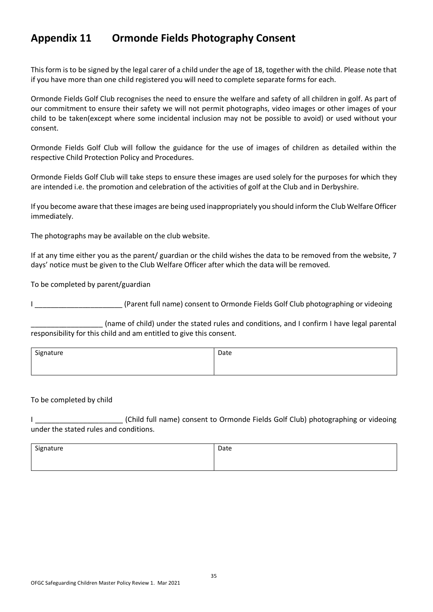### **Appendix 11 Ormonde Fields Photography Consent**

This form is to be signed by the legal carer of a child under the age of 18, together with the child. Please note that if you have more than one child registered you will need to complete separate forms for each.

Ormonde Fields Golf Club recognises the need to ensure the welfare and safety of all children in golf. As part of our commitment to ensure their safety we will not permit photographs, video images or other images of your child to be taken(except where some incidental inclusion may not be possible to avoid) or used without your consent.

Ormonde Fields Golf Club will follow the guidance for the use of images of children as detailed within the respective Child Protection Policy and Procedures.

Ormonde Fields Golf Club will take steps to ensure these images are used solely for the purposes for which they are intended i.e. the promotion and celebration of the activities of golf at the Club and in Derbyshire.

If you become aware that these images are being used inappropriately you should inform the Club Welfare Officer immediately.

The photographs may be available on the club website.

If at any time either you as the parent/ guardian or the child wishes the data to be removed from the website, 7 days' notice must be given to the Club Welfare Officer after which the data will be removed.

To be completed by parent/guardian

I \_\_\_\_\_\_\_\_\_\_\_\_\_\_\_\_\_\_\_\_\_\_ (Parent full name) consent to Ormonde Fields Golf Club photographing or videoing

\_\_\_\_\_\_\_\_\_\_\_\_\_\_\_\_\_\_ (name of child) under the stated rules and conditions, and I confirm I have legal parental responsibility for this child and am entitled to give this consent.

| Signature | Date |
|-----------|------|
|           |      |

#### To be completed by child

I \_\_\_\_\_\_\_\_\_\_\_\_\_\_\_\_\_\_\_\_\_\_ (Child full name) consent to Ormonde Fields Golf Club) photographing or videoing under the stated rules and conditions.

| Signature | Date |
|-----------|------|
|           |      |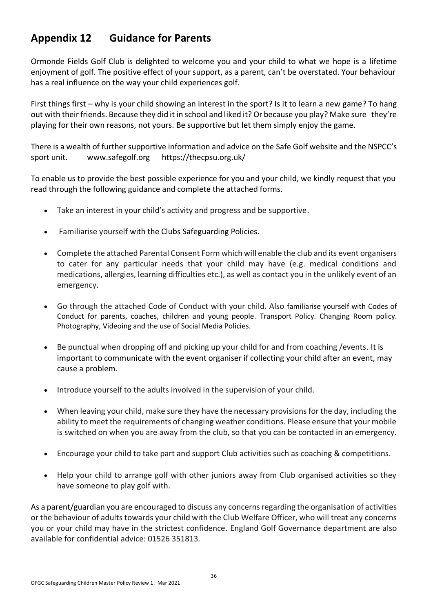### **Appendix 12 Guidance for Parents**

Ormonde Fields Golf Club is delighted to welcome you and your child to what we hope is a lifetime enjoyment of golf. The positive effect of your support, as a parent, can't be overstated. Your behaviour has a real influence on the way your child experiences golf.

First things first – why is your child showing an interest in the sport? Is it to learn a new game? To hang out with their friends. Because they did it in school and liked it? Or because you play? Make sure they're playing for their own reasons, not yours. Be supportive but let them simply enjoy the game.

There is a wealth of further supportive information and advice on the Safe Golf website and the NSPCC's sport unit. [www.safegolf.org](http://www.safegolf.org/) <https://thecpsu.org.uk/>

To enable us to provide the best possible experience for you and your child, we kindly request that you read through the following guidance and complete the attached forms.

- Take an interest in your child's activity and progress and be supportive.
- Familiarise yourself with the Clubs Safeguarding Policies.
- Complete the attached Parental Consent Form which will enable the club and its event organisers to cater for any particular needs that your child may have (e.g. medical conditions and medications, allergies, learning difficulties etc.), as well as contact you in the unlikely event of an emergency.
- Go through the attached Code of Conduct with your child. Also familiarise yourself with Codes of Conduct for parents, coaches, children and young people. Transport Policy. Changing Room policy. Photography, Videoing and the use of Social Media Policies.
- Be punctual when dropping off and picking up your child for and from coaching /events. It is important to communicate with the event organiser if collecting your child after an event, may cause a problem.
- Introduce yourself to the adults involved in the supervision of your child.
- When leaving your child, make sure they have the necessary provisions for the day, including the ability to meet the requirements of changing weather conditions. Please ensure that your mobile is switched on when you are away from the club, so that you can be contacted in an emergency.
- Encourage your child to take part and support Club activities such as coaching & competitions.
- Help your child to arrange golf with other juniors away from Club organised activities so they have someone to play golf with.

As a parent/guardian you are encouraged to discuss any concerns regarding the organisation of activities or the behaviour of adults towards your child with the Club Welfare Officer, who will treat any concerns you or your child may have in the strictest confidence. England Golf Governance department are also available for confidential advice: 01526 351813.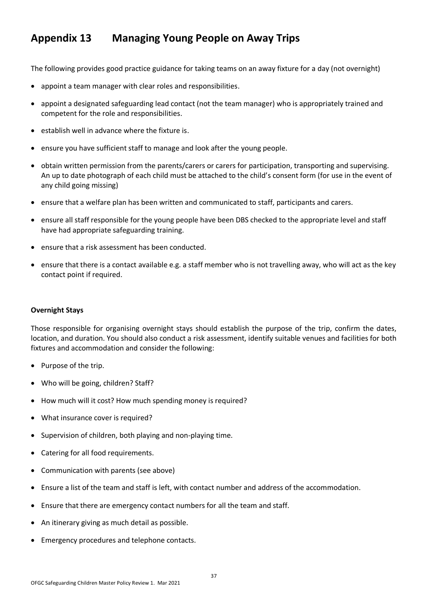### **Appendix 13 Managing Young People on Away Trips**

The following provides good practice guidance for taking teams on an away fixture for a day (not overnight)

- appoint a team manager with clear roles and responsibilities.
- appoint a designated safeguarding lead contact (not the team manager) who is appropriately trained and competent for the role and responsibilities.
- establish well in advance where the fixture is.
- ensure you have sufficient staff to manage and look after the young people.
- obtain written permission from the parents/carers or carers for participation, transporting and supervising. An up to date photograph of each child must be attached to the child's consent form (for use in the event of any child going missing)
- ensure that a welfare plan has been written and communicated to staff, participants and carers.
- ensure all staff responsible for the young people have been DBS checked to the appropriate level and staff have had appropriate safeguarding training.
- ensure that a risk assessment has been conducted.
- ensure that there is a contact available e.g. a staff member who is not travelling away, who will act as the key contact point if required.

#### **Overnight Stays**

Those responsible for organising overnight stays should establish the purpose of the trip, confirm the dates, location, and duration. You should also conduct a risk assessment, identify suitable venues and facilities for both fixtures and accommodation and consider the following:

- Purpose of the trip.
- Who will be going, children? Staff?
- How much will it cost? How much spending money is required?
- What insurance cover is required?
- Supervision of children, both playing and non-playing time.
- Catering for all food requirements.
- Communication with parents (see above)
- Ensure a list of the team and staff is left, with contact number and address of the accommodation.
- Ensure that there are emergency contact numbers for all the team and staff.
- An itinerary giving as much detail as possible.
- Emergency procedures and telephone contacts.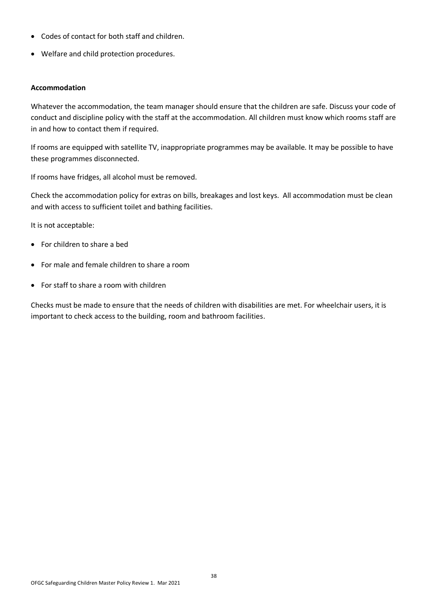- Codes of contact for both staff and children.
- Welfare and child protection procedures.

#### **Accommodation**

Whatever the accommodation, the team manager should ensure that the children are safe. Discuss your code of conduct and discipline policy with the staff at the accommodation. All children must know which rooms staff are in and how to contact them if required.

If rooms are equipped with satellite TV, inappropriate programmes may be available. It may be possible to have these programmes disconnected.

If rooms have fridges, all alcohol must be removed.

Check the accommodation policy for extras on bills, breakages and lost keys. All accommodation must be clean and with access to sufficient toilet and bathing facilities.

It is not acceptable:

- For children to share a bed
- For male and female children to share a room
- For staff to share a room with children

Checks must be made to ensure that the needs of children with disabilities are met. For wheelchair users, it is important to check access to the building, room and bathroom facilities.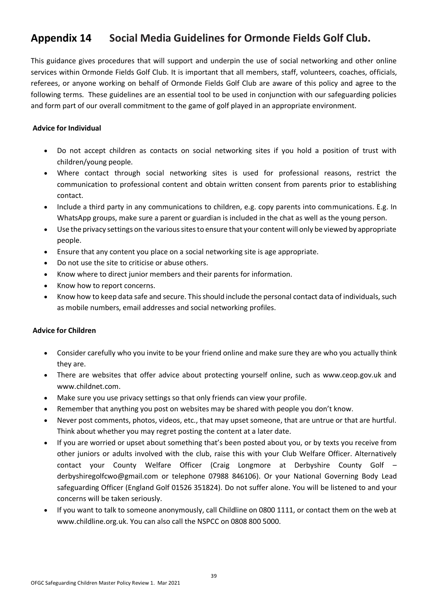### **Appendix 14 Social Media Guidelines for Ormonde Fields Golf Club.**

This guidance gives procedures that will support and underpin the use of social networking and other online services within Ormonde Fields Golf Club. It is important that all members, staff, volunteers, coaches, officials, referees, or anyone working on behalf of Ormonde Fields Golf Club are aware of this policy and agree to the following terms. These guidelines are an essential tool to be used in conjunction with our safeguarding policies and form part of our overall commitment to the game of golf played in an appropriate environment.

#### **Advice for Individual**

- Do not accept children as contacts on social networking sites if you hold a position of trust with children/young people.
- Where contact through social networking sites is used for professional reasons, restrict the communication to professional content and obtain written consent from parents prior to establishing contact.
- Include a third party in any communications to children, e.g. copy parents into communications. E.g. In WhatsApp groups, make sure a parent or guardian is included in the chat as well as the young person.
- Use the privacy settings on the various sites to ensure that your content will only be viewed by appropriate people.
- Ensure that any content you place on a social networking site is age appropriate.
- Do not use the site to criticise or abuse others.
- Know where to direct junior members and their parents for information.
- Know how to report concerns.
- Know how to keep data safe and secure. This should include the personal contact data of individuals, such as mobile numbers, email addresses and social networking profiles.

#### **Advice for Children**

- Consider carefully who you invite to be your friend online and make sure they are who you actually think they are.
- There are websites that offer advice about protecting yourself online, such as www.ceop.gov.uk and www.childnet.com.
- Make sure you use privacy settings so that only friends can view your profile.
- Remember that anything you post on websites may be shared with people you don't know.
- Never post comments, photos, videos, etc., that may upset someone, that are untrue or that are hurtful. Think about whether you may regret posting the content at a later date.
- If you are worried or upset about something that's been posted about you, or by texts you receive from other juniors or adults involved with the club, raise this with your Club Welfare Officer. Alternatively contact your County Welfare Officer (Craig Longmore at Derbyshire County Golf – derbyshiregolfcwo@gmail.com or telephone 07988 846106). Or your National Governing Body Lead safeguarding Officer (England Golf 01526 351824). Do not suffer alone. You will be listened to and your concerns will be taken seriously.
- If you want to talk to someone anonymously, call Childline on 0800 1111, or contact them on the web at www.childline.org.uk. You can also call the NSPCC on 0808 800 5000.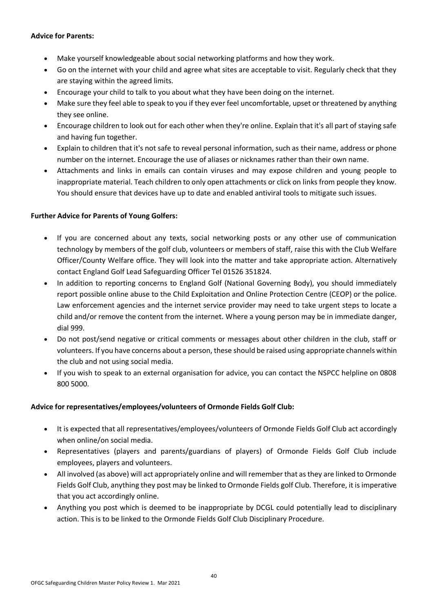#### **Advice for Parents:**

- Make yourself knowledgeable about social networking platforms and how they work.
- Go on the internet with your child and agree what sites are acceptable to visit. Regularly check that they are staying within the agreed limits.
- Encourage your child to talk to you about what they have been doing on the internet.
- Make sure they feel able to speak to you if they ever feel uncomfortable, upset or threatened by anything they see online.
- Encourage children to look out for each other when they're online. Explain that it's all part of staying safe and having fun together.
- Explain to children that it's not safe to reveal personal information, such as their name, address or phone number on the internet. Encourage the use of aliases or nicknames rather than their own name.
- Attachments and links in emails can contain viruses and may expose children and young people to inappropriate material. Teach children to only open attachments or click on links from people they know. You should ensure that devices have up to date and enabled antiviral tools to mitigate such issues.

#### **Further Advice for Parents of Young Golfers:**

- If you are concerned about any texts, social networking posts or any other use of communication technology by members of the golf club, volunteers or members of staff, raise this with the Club Welfare Officer/County Welfare office. They will look into the matter and take appropriate action. Alternatively contact England Golf Lead Safeguarding Officer Tel 01526 351824.
- In addition to reporting concerns to England Golf (National Governing Body), you should immediately report possible online abuse to the Child Exploitation and Online Protection Centre (CEOP) or the police. Law enforcement agencies and the internet service provider may need to take urgent steps to locate a child and/or remove the content from the internet. Where a young person may be in immediate danger, dial 999.
- Do not post/send negative or critical comments or messages about other children in the club, staff or volunteers. If you have concerns about a person, these should be raised using appropriate channels within the club and not using social media.
- If you wish to speak to an external organisation for advice, you can contact the NSPCC helpline on 0808 800 5000.

#### **Advice for representatives/employees/volunteers of Ormonde Fields Golf Club:**

- It is expected that all representatives/employees/volunteers of Ormonde Fields Golf Club act accordingly when online/on social media.
- Representatives (players and parents/guardians of players) of Ormonde Fields Golf Club include employees, players and volunteers.
- All involved (as above) will act appropriately online and will remember that as they are linked to Ormonde Fields Golf Club, anything they post may be linked to Ormonde Fields golf Club. Therefore, it is imperative that you act accordingly online.
- Anything you post which is deemed to be inappropriate by DCGL could potentially lead to disciplinary action. This is to be linked to the Ormonde Fields Golf Club Disciplinary Procedure.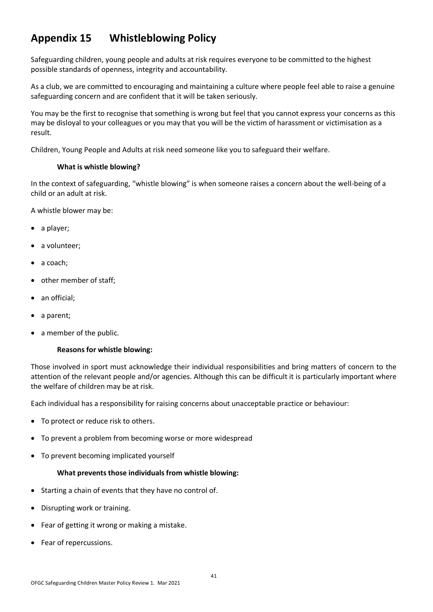### **Appendix 15 Whistleblowing Policy**

Safeguarding children, young people and adults at risk requires everyone to be committed to the highest possible standards of openness, integrity and accountability.

As a club, we are committed to encouraging and maintaining a culture where people feel able to raise a genuine safeguarding concern and are confident that it will be taken seriously.

You may be the first to recognise that something is wrong but feel that you cannot express your concerns as this may be disloyal to your colleagues or you may that you will be the victim of harassment or victimisation as a result.

Children, Young People and Adults at risk need someone like you to safeguard their welfare.

#### **What is whistle blowing?**

In the context of safeguarding, "whistle blowing" is when someone raises a concern about the well-being of a child or an adult at risk.

A whistle blower may be:

- a player:
- a volunteer:
- a coach;
- other member of staff;
- an official:
- a parent;
- a member of the public.

#### **Reasons for whistle blowing:**

Those involved in sport must acknowledge their individual responsibilities and bring matters of concern to the attention of the relevant people and/or agencies. Although this can be difficult it is particularly important where the welfare of children may be at risk.

Each individual has a responsibility for raising concerns about unacceptable practice or behaviour:

- To protect or reduce risk to others.
- To prevent a problem from becoming worse or more widespread
- To prevent becoming implicated yourself

#### **What prevents those individuals from whistle blowing:**

- Starting a chain of events that they have no control of.
- Disrupting work or training.
- Fear of getting it wrong or making a mistake.
- Fear of repercussions.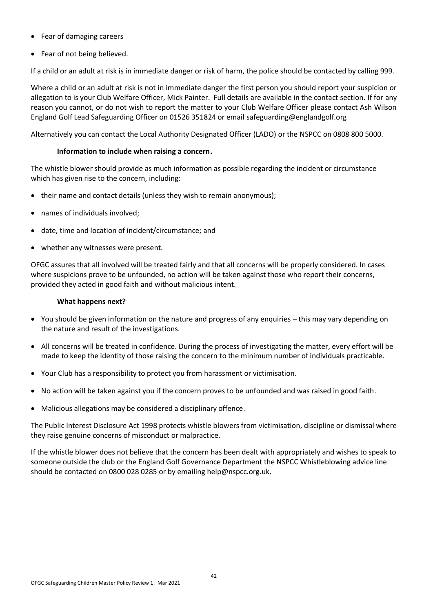- Fear of damaging careers
- Fear of not being believed.

If a child or an adult at risk is in immediate danger or risk of harm, the police should be contacted by calling 999.

Where a child or an adult at risk is not in immediate danger the first person you should report your suspicion or allegation to is your Club Welfare Officer, Mick Painter. Full details are available in the contact section. If for any reason you cannot, or do not wish to report the matter to your Club Welfare Officer please contact Ash Wilson England Golf Lead Safeguarding Officer on 01526 351824 or email [safeguarding@englandgolf.org](mailto:safeguarding@englandgolf.org)

Alternatively you can contact the Local Authority Designated Officer (LADO) or the NSPCC on 0808 800 5000.

#### **Information to include when raising a concern.**

The whistle blower should provide as much information as possible regarding the incident or circumstance which has given rise to the concern, including:

- their name and contact details (unless they wish to remain anonymous);
- names of individuals involved;
- date, time and location of incident/circumstance; and
- whether any witnesses were present.

OFGC assures that all involved will be treated fairly and that all concerns will be properly considered. In cases where suspicions prove to be unfounded, no action will be taken against those who report their concerns, provided they acted in good faith and without malicious intent.

#### **What happens next?**

- You should be given information on the nature and progress of any enquiries this may vary depending on the nature and result of the investigations.
- All concerns will be treated in confidence. During the process of investigating the matter, every effort will be made to keep the identity of those raising the concern to the minimum number of individuals practicable.
- Your Club has a responsibility to protect you from harassment or victimisation.
- No action will be taken against you if the concern proves to be unfounded and was raised in good faith.
- Malicious allegations may be considered a disciplinary offence.

The Public Interest Disclosure Act 1998 protects whistle blowers from victimisation, discipline or dismissal where they raise genuine concerns of misconduct or malpractice.

If the whistle blower does not believe that the concern has been dealt with appropriately and wishes to speak to someone outside the club or the England Golf Governance Department the NSPCC Whistleblowing advice line should be contacted on 0800 028 0285 or by emailing [help@nspcc.org.uk.](mailto:help@nspcc.org.uk)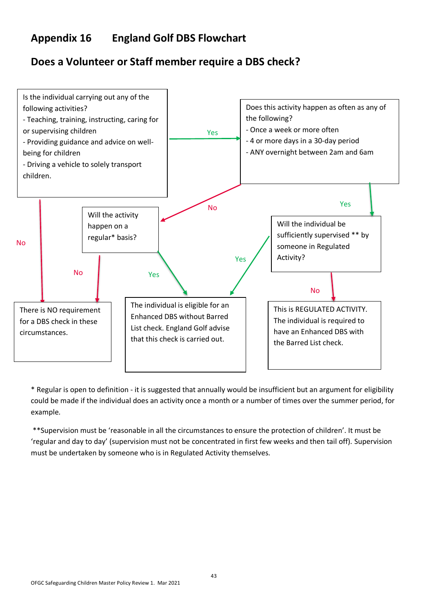### **Appendix 16 England Golf DBS Flowchart**

### **Does a Volunteer or Staff member require a DBS check?**



\* Regular is open to definition - it is suggested that annually would be insufficient but an argument for eligibility could be made if the individual does an activity once a month or a number of times over the summer period, for example.

\*\*Supervision must be 'reasonable in all the circumstances to ensure the protection of children'. It must be 'regular and day to day' (supervision must not be concentrated in first few weeks and then tail off). Supervision must be undertaken by someone who is in Regulated Activity themselves.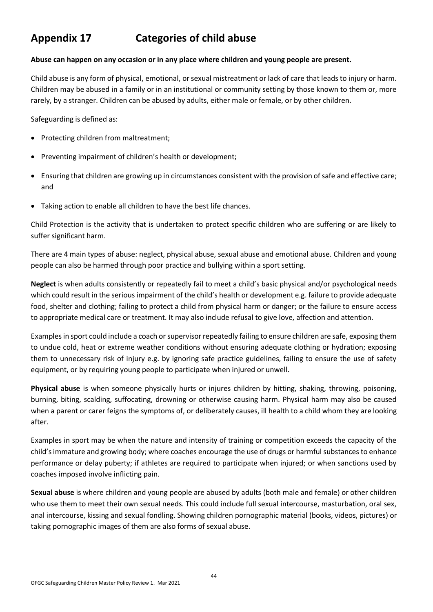### **Appendix 17 Categories of child abuse**

#### **Abuse can happen on any occasion or in any place where children and young people are present.**

Child abuse is any form of physical, emotional, or sexual mistreatment or lack of care that leads to injury or harm. Children may be abused in a family or in an institutional or community setting by those known to them or, more rarely, by a stranger. Children can be abused by adults, either male or female, or by other children.

Safeguarding is defined as:

- Protecting children from maltreatment;
- Preventing impairment of children's health or development;
- Ensuring that children are growing up in circumstances consistent with the provision of safe and effective care; and
- Taking action to enable all children to have the best life chances.

Child Protection is the activity that is undertaken to protect specific children who are suffering or are likely to suffer significant harm.

There are 4 main types of abuse: neglect, physical abuse, sexual abuse and emotional abuse. Children and young people can also be harmed through poor practice and bullying within a sport setting.

**Neglect** is when adults consistently or repeatedly fail to meet a child's basic physical and/or psychological needs which could result in the serious impairment of the child's health or development e.g. failure to provide adequate food, shelter and clothing; failing to protect a child from physical harm or danger; or the failure to ensure access to appropriate medical care or treatment. It may also include refusal to give love, affection and attention.

Examples in sport could include a coach or supervisor repeatedly failing to ensure children are safe, exposing them to undue cold, heat or extreme weather conditions without ensuring adequate clothing or hydration; exposing them to unnecessary risk of injury e.g. by ignoring safe practice guidelines, failing to ensure the use of safety equipment, or by requiring young people to participate when injured or unwell.

**Physical abuse** is when someone physically hurts or injures children by hitting, shaking, throwing, poisoning, burning, biting, scalding, suffocating, drowning or otherwise causing harm. Physical harm may also be caused when a parent or carer feigns the symptoms of, or deliberately causes, ill health to a child whom they are looking after.

Examples in sport may be when the nature and intensity of training or competition exceeds the capacity of the child's immature and growing body; where coaches encourage the use of drugs or harmful substances to enhance performance or delay puberty; if athletes are required to participate when injured; or when sanctions used by coaches imposed involve inflicting pain.

**Sexual abuse** is where children and young people are abused by adults (both male and female) or other children who use them to meet their own sexual needs. This could include full sexual intercourse, masturbation, oral sex, anal intercourse, kissing and sexual fondling. Showing children pornographic material (books, videos, pictures) or taking pornographic images of them are also forms of sexual abuse.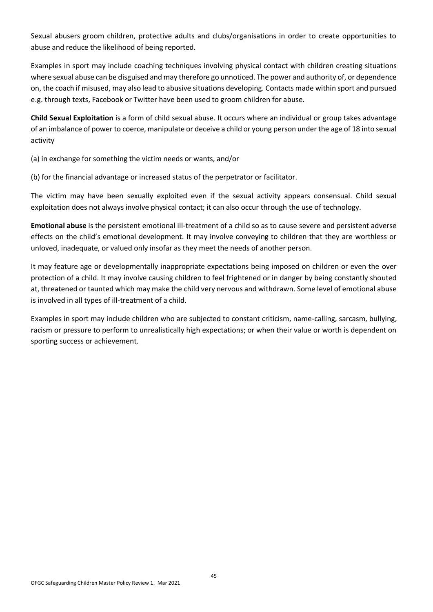Sexual abusers groom children, protective adults and clubs/organisations in order to create opportunities to abuse and reduce the likelihood of being reported.

Examples in sport may include coaching techniques involving physical contact with children creating situations where sexual abuse can be disguised and may therefore go unnoticed. The power and authority of, or dependence on, the coach if misused, may also lead to abusive situations developing. Contacts made within sport and pursued e.g. through texts, Facebook or Twitter have been used to groom children for abuse.

**Child Sexual Exploitation** is a form of child sexual abuse. It occurs where an individual or group takes advantage of an imbalance of power to coerce, manipulate or deceive a child or young person under the age of 18 into sexual activity

(a) in exchange for something the victim needs or wants, and/or

(b) for the financial advantage or increased status of the perpetrator or facilitator.

The victim may have been sexually exploited even if the sexual activity appears consensual. Child sexual exploitation does not always involve physical contact; it can also occur through the use of technology.

**Emotional abuse** is the persistent emotional ill-treatment of a child so as to cause severe and persistent adverse effects on the child's emotional development. It may involve conveying to children that they are worthless or unloved, inadequate, or valued only insofar as they meet the needs of another person.

It may feature age or developmentally inappropriate expectations being imposed on children or even the over protection of a child. It may involve causing children to feel frightened or in danger by being constantly shouted at, threatened or taunted which may make the child very nervous and withdrawn. Some level of emotional abuse is involved in all types of ill-treatment of a child.

Examples in sport may include children who are subjected to constant criticism, name-calling, sarcasm, bullying, racism or pressure to perform to unrealistically high expectations; or when their value or worth is dependent on sporting success or achievement.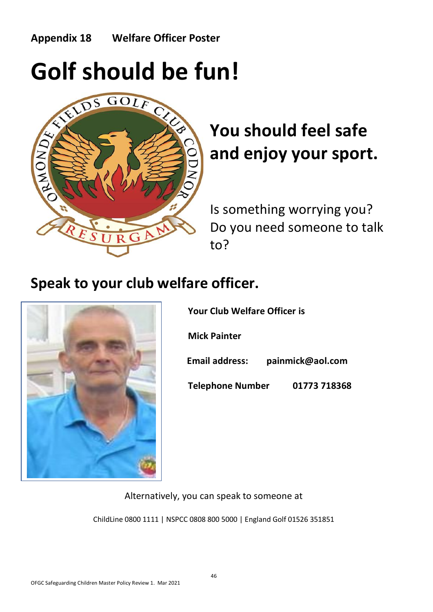### **Appendix 18 Welfare Officer Poster**



# **You should feel safe and enjoy your sport.**

Is something worrying you? Do you need someone to talk to?

## **Speak to your club welfare officer.**



|                         | <b>Your Club Welfare Officer is</b> |  |  |  |
|-------------------------|-------------------------------------|--|--|--|
| <b>Mick Painter</b>     |                                     |  |  |  |
| <b>Email address:</b>   | painmick@aol.com                    |  |  |  |
| <b>Telephone Number</b> | 01773 718368                        |  |  |  |

Alternatively, you can speak to someone at

ChildLine 0800 1111 | NSPCC 0808 800 5000 | England Golf 01526 351851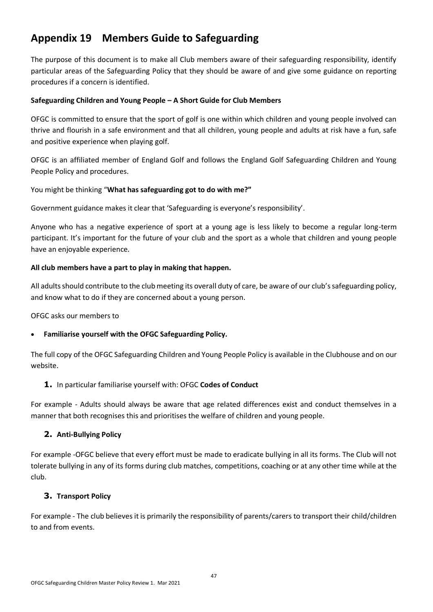### **Appendix 19 Members Guide to Safeguarding**

The purpose of this document is to make all Club members aware of their safeguarding responsibility, identify particular areas of the Safeguarding Policy that they should be aware of and give some guidance on reporting procedures if a concern is identified.

#### **Safeguarding Children and Young People – A Short Guide for Club Members**

OFGC is committed to ensure that the sport of golf is one within which children and young people involved can thrive and flourish in a safe environment and that all children, young people and adults at risk have a fun, safe and positive experience when playing golf.

OFGC is an affiliated member of England Golf and follows the England Golf Safeguarding Children and Young People Policy and procedures.

#### You might be thinking "**What has safeguarding got to do with me?"**

Government guidance makes it clear that 'Safeguarding is everyone's responsibility'.

Anyone who has a negative experience of sport at a young age is less likely to become a regular long-term participant. It's important for the future of your club and the sport as a whole that children and young people have an enjoyable experience.

#### **All club members have a part to play in making that happen.**

All adults should contribute to the club meeting its overall duty of care, be aware of our club's safeguarding policy, and know what to do if they are concerned about a young person.

OFGC asks our members to

#### • **Familiarise yourself with the OFGC Safeguarding Policy.**

The full copy of the OFGC Safeguarding Children and Young People Policy is available in the Clubhouse and on our website.

#### **1.** In particular familiarise yourself with: OFGC **Codes of Conduct**

For example - Adults should always be aware that age related differences exist and conduct themselves in a manner that both recognises this and prioritises the welfare of children and young people.

#### **2. Anti-Bullying Policy**

For example -OFGC believe that every effort must be made to eradicate bullying in all its forms. The Club will not tolerate bullying in any of its forms during club matches, competitions, coaching or at any other time while at the club.

#### **3. Transport Policy**

For example - The club believes it is primarily the responsibility of parents/carers to transport their child/children to and from events.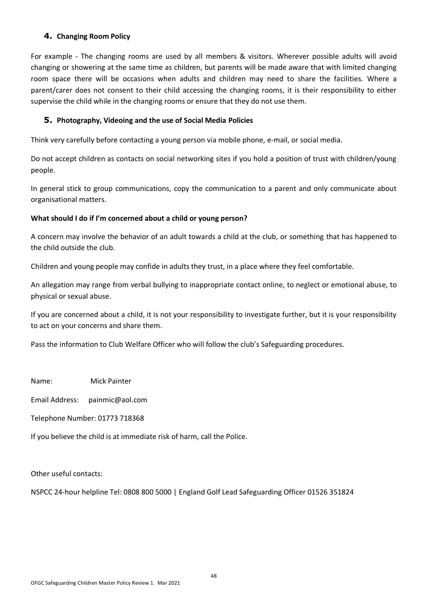#### **4. Changing Room Policy**

For example - The changing rooms are used by all members & visitors. Wherever possible adults will avoid changing or showering at the same time as children, but parents will be made aware that with limited changing room space there will be occasions when adults and children may need to share the facilities. Where a parent/carer does not consent to their child accessing the changing rooms, it is their responsibility to either supervise the child while in the changing rooms or ensure that they do not use them.

#### **5. Photography, Videoing and the use of Social Media Policies**

Think very carefully before contacting a young person via mobile phone, e-mail, or social media.

Do not accept children as contacts on social networking sites if you hold a position of trust with children/young people.

In general stick to group communications, copy the communication to a parent and only communicate about organisational matters.

#### **What should I do if I'm concerned about a child or young person?**

A concern may involve the behavior of an adult towards a child at the club, or something that has happened to the child outside the club.

Children and young people may confide in adults they trust, in a place where they feel comfortable.

An allegation may range from verbal bullying to inappropriate contact online, to neglect or emotional abuse, to physical or sexual abuse.

If you are concerned about a child, it is not your responsibility to investigate further, but it is your responsibility to act on your concerns and share them.

Pass the information to Club Welfare Officer who will follow the club's Safeguarding procedures.

Name: Mick Painter

Email Address: painmic@aol.com

Telephone Number: 01773 718368

If you believe the child is at immediate risk of harm, call the Police.

Other useful contacts:

NSPCC 24-hour helpline Tel: 0808 800 5000 | England Golf Lead Safeguarding Officer 01526 351824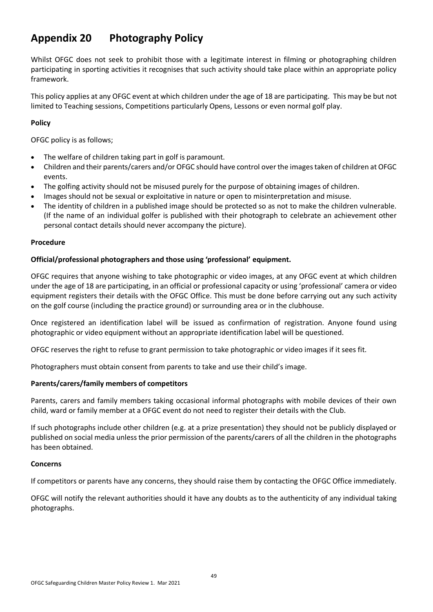### **Appendix 20 Photography Policy**

Whilst OFGC does not seek to prohibit those with a legitimate interest in filming or photographing children participating in sporting activities it recognises that such activity should take place within an appropriate policy framework.

This policy applies at any OFGC event at which children under the age of 18 are participating. This may be but not limited to Teaching sessions, Competitions particularly Opens, Lessons or even normal golf play.

#### **Policy**

OFGC policy is as follows;

- The welfare of children taking part in golf is paramount.
- Children and their parents/carers and/or OFGC should have control over the images taken of children at OFGC events.
- The golfing activity should not be misused purely for the purpose of obtaining images of children.
- Images should not be sexual or exploitative in nature or open to misinterpretation and misuse.
- The identity of children in a published image should be protected so as not to make the children vulnerable. (If the name of an individual golfer is published with their photograph to celebrate an achievement other personal contact details should never accompany the picture).

#### **Procedure**

#### **Official/professional photographers and those using 'professional' equipment.**

OFGC requires that anyone wishing to take photographic or video images, at any OFGC event at which children under the age of 18 are participating, in an official or professional capacity or using 'professional' camera or video equipment registers their details with the OFGC Office. This must be done before carrying out any such activity on the golf course (including the practice ground) or surrounding area or in the clubhouse.

Once registered an identification label will be issued as confirmation of registration. Anyone found using photographic or video equipment without an appropriate identification label will be questioned.

OFGC reserves the right to refuse to grant permission to take photographic or video images if it sees fit.

Photographers must obtain consent from parents to take and use their child's image.

#### **Parents/carers/family members of competitors**

Parents, carers and family members taking occasional informal photographs with mobile devices of their own child, ward or family member at a OFGC event do not need to register their details with the Club.

If such photographs include other children (e.g. at a prize presentation) they should not be publicly displayed or published on social media unless the prior permission of the parents/carers of all the children in the photographs has been obtained.

#### **Concerns**

If competitors or parents have any concerns, they should raise them by contacting the OFGC Office immediately.

OFGC will notify the relevant authorities should it have any doubts as to the authenticity of any individual taking photographs.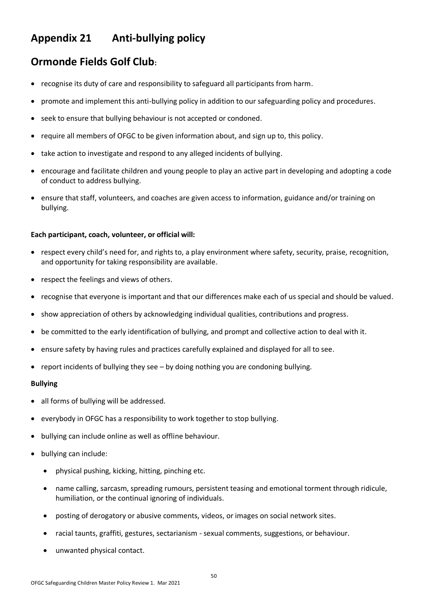### **Appendix 21 Anti-bullying policy**

### **Ormonde Fields Golf Club:**

- recognise its duty of care and responsibility to safeguard all participants from harm.
- promote and implement this anti-bullying policy in addition to our safeguarding policy and procedures.
- seek to ensure that bullying behaviour is not accepted or condoned.
- require all members of OFGC to be given information about, and sign up to, this policy.
- take action to investigate and respond to any alleged incidents of bullying.
- encourage and facilitate children and young people to play an active part in developing and adopting a code of conduct to address bullying.
- ensure that staff, volunteers, and coaches are given access to information, guidance and/or training on bullying.

#### **Each participant, coach, volunteer, or official will:**

- respect every child's need for, and rights to, a play environment where safety, security, praise, recognition, and opportunity for taking responsibility are available.
- respect the feelings and views of others.
- recognise that everyone is important and that our differences make each of us special and should be valued.
- show appreciation of others by acknowledging individual qualities, contributions and progress.
- be committed to the early identification of bullying, and prompt and collective action to deal with it.
- ensure safety by having rules and practices carefully explained and displayed for all to see.
- report incidents of bullying they see by doing nothing you are condoning bullying.

#### **Bullying**

- all forms of bullying will be addressed.
- everybody in OFGC has a responsibility to work together to stop bullying.
- bullying can include online as well as offline behaviour.
- bullying can include:
	- physical pushing, kicking, hitting, pinching etc.
	- name calling, sarcasm, spreading rumours, persistent teasing and emotional torment through ridicule, humiliation, or the continual ignoring of individuals.
	- posting of derogatory or abusive comments, videos, or images on social network sites.
	- racial taunts, graffiti, gestures, sectarianism sexual comments, suggestions, or behaviour.
	- unwanted physical contact.